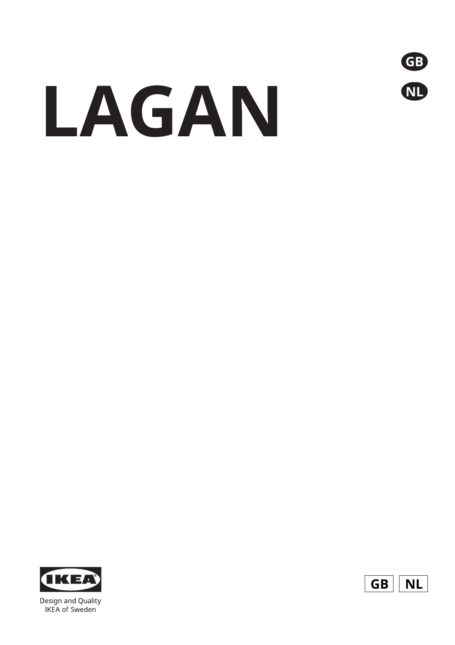

# **LAGAN**



Design and Quality **IKEA** of Sweden

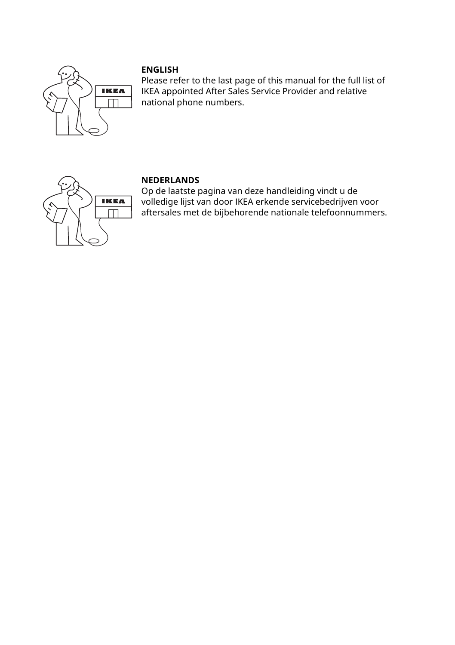

Please refer to the last page of this manual for the full list of IKEA appointed After Sales Service Provider and relative national phone numbers.



## **NEDERLANDS**

Op de laatste pagina van deze handleiding vindt u de volledige lijst van door IKEA erkende servicebedrijven voor aftersales met de bijbehorende nationale telefoonnummers.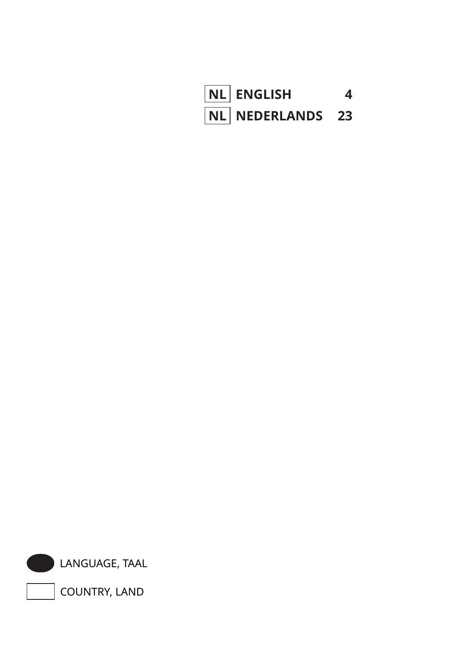



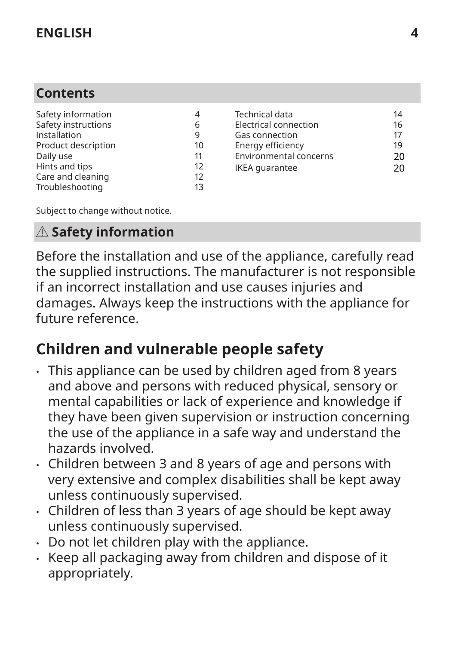# <span id="page-3-0"></span>**Contents**

| Safety information  |    |
|---------------------|----|
| Safety instructions | 6  |
| Installation        | q  |
| Product description | 10 |
| Daily use           | 11 |
| Hints and tips      | 12 |
| Care and cleaning   | 12 |
| Troubleshooting     | 13 |
|                     |    |

| Technical data         | 14 |
|------------------------|----|
| Electrical connection  | 16 |
| Gas connection         | 17 |
| Energy efficiency      | 19 |
| Environmental concerns | 20 |
| <b>IKEA</b> quarantee  | 20 |

Subject to change without notice.

# **Safety information**

Before the installation and use of the appliance, carefully read the supplied instructions. The manufacturer is not responsible if an incorrect installation and use causes injuries and damages. Always keep the instructions with the appliance for future reference.

# **Children and vulnerable people safety**

- This appliance can be used by children aged from 8 years and above and persons with reduced physical, sensory or mental capabilities or lack of experience and knowledge if they have been given supervision or instruction concerning the use of the appliance in a safe way and understand the hazards involved.
- Children between 3 and 8 years of age and persons with very extensive and complex disabilities shall be kept away unless continuously supervised.
- Children of less than 3 years of age should be kept away unless continuously supervised.
- Do not let children play with the appliance.
- Keep all packaging away from children and dispose of it appropriately.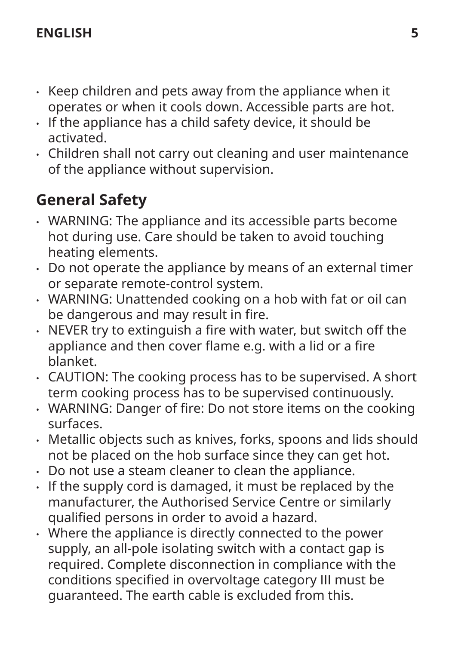- Keep children and pets away from the appliance when it operates or when it cools down. Accessible parts are hot.
- If the appliance has a child safety device, it should be activated.
- Children shall not carry out cleaning and user maintenance of the appliance without supervision.

# **General Safety**

- WARNING: The appliance and its accessible parts become hot during use. Care should be taken to avoid touching heating elements.
- Do not operate the appliance by means of an external timer or separate remote-control system.
- WARNING: Unattended cooking on a hob with fat or oil can be dangerous and may result in fire.
- NEVER try to extinguish a fire with water, but switch off the appliance and then cover flame e.g. with a lid or a fire blanket.
- CAUTION: The cooking process has to be supervised. A short term cooking process has to be supervised continuously.
- WARNING: Danger of fire: Do not store items on the cooking surfaces.
- Metallic objects such as knives, forks, spoons and lids should not be placed on the hob surface since they can get hot.
- Do not use a steam cleaner to clean the appliance.
- If the supply cord is damaged, it must be replaced by the manufacturer, the Authorised Service Centre or similarly qualified persons in order to avoid a hazard.
- Where the appliance is directly connected to the power supply, an all-pole isolating switch with a contact gap is required. Complete disconnection in compliance with the conditions specified in overvoltage category III must be guaranteed. The earth cable is excluded from this.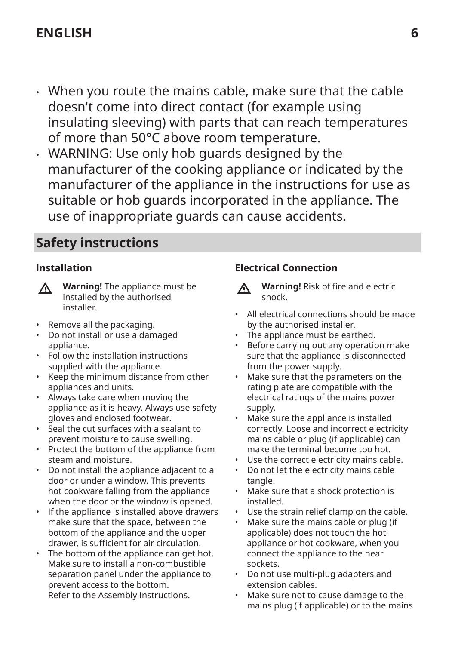- <span id="page-5-0"></span>• When you route the mains cable, make sure that the cable doesn't come into direct contact (for example using insulating sleeving) with parts that can reach temperatures of more than 50°C above room temperature.
- WARNING: Use only hob guards designed by the manufacturer of the cooking appliance or indicated by the manufacturer of the appliance in the instructions for use as suitable or hob guards incorporated in the appliance. The use of inappropriate guards can cause accidents.

# **Safety instructions**

## **Installation**

| <u>个</u> | <b>Warning! The</b> |
|----------|---------------------|
|          | installed by th     |
|          |                     |

appliance must be ie authorised installer.

- Remove all the packaging.
- Do not install or use a damaged appliance.
- Follow the installation instructions supplied with the appliance.
- Keep the minimum distance from other appliances and units.
- Always take care when moving the appliance as it is heavy. Always use safety gloves and enclosed footwear.
- Seal the cut surfaces with a sealant to prevent moisture to cause swelling.
- Protect the bottom of the appliance from steam and moisture.
- Do not install the appliance adjacent to a door or under a window. This prevents hot cookware falling from the appliance when the door or the window is opened.
- If the appliance is installed above drawers make sure that the space, between the bottom of the appliance and the upper drawer, is sufficient for air circulation.
- The bottom of the appliance can get hot. Make sure to install a non-combustible separation panel under the appliance to prevent access to the bottom. Refer to the Assembly Instructions.

## **Electrical Connection**

- **Warning!** Risk of fire and electric W shock.
- All electrical connections should be made by the authorised installer.
- The appliance must be earthed.
- Before carrying out any operation make sure that the appliance is disconnected from the power supply.
- Make sure that the parameters on the rating plate are compatible with the electrical ratings of the mains power supply.
- Make sure the appliance is installed correctly. Loose and incorrect electricity mains cable or plug (if applicable) can make the terminal become too hot.
- Use the correct electricity mains cable.
- Do not let the electricity mains cable tangle.
- Make sure that a shock protection is installed.
- Use the strain relief clamp on the cable.
- Make sure the mains cable or plug (if applicable) does not touch the hot appliance or hot cookware, when you connect the appliance to the near sockets.
- Do not use multi-plug adapters and extension cables.
- Make sure not to cause damage to the mains plug (if applicable) or to the mains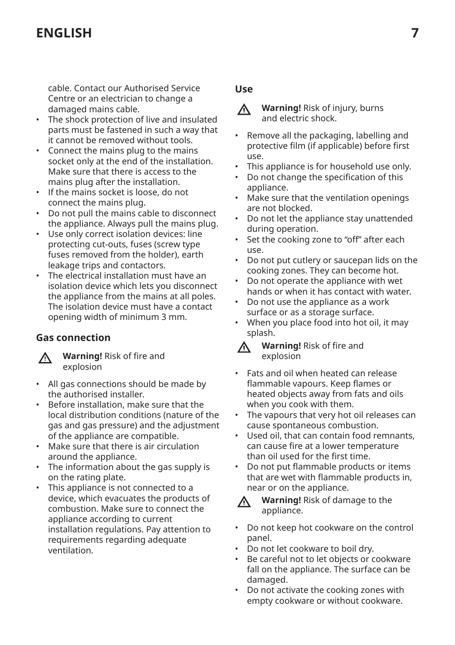cable. Contact our Authorised Service Centre or an electrician to change a damaged mains cable.

- The shock protection of live and insulated parts must be fastened in such a way that it cannot be removed without tools.
- Connect the mains plug to the mains socket only at the end of the installation. Make sure that there is access to the mains plug after the installation.
- If the mains socket is loose, do not connect the mains plug.
- Do not pull the mains cable to disconnect the appliance. Always pull the mains plug.
- Use only correct isolation devices: line protecting cut-outs, fuses (screw type fuses removed from the holder), earth leakage trips and contactors.
- The electrical installation must have an isolation device which lets you disconnect the appliance from the mains at all poles. The isolation device must have a contact opening width of minimum 3 mm.

## **Gas connection**

八

**Warning!** Risk of fire and explosion

- All gas connections should be made by the authorised installer.
- Before installation, make sure that the local distribution conditions (nature of the gas and gas pressure) and the adjustment of the appliance are compatible.
- Make sure that there is air circulation around the appliance.
- The information about the gas supply is on the rating plate.
- This appliance is not connected to a device, which evacuates the products of combustion. Make sure to connect the appliance according to current installation regulations. Pay attention to requirements regarding adequate ventilation.

## **Use**

- **Warning!** Risk of injury, burns 八 and electric shock.
- Remove all the packaging, labelling and protective film (if applicable) before first use.
- This appliance is for household use only.
- Do not change the specification of this appliance.
- Make sure that the ventilation openings are not blocked.
- Do not let the appliance stay unattended during operation.
- Set the cooking zone to "off" after each use.
- Do not put cutlery or saucepan lids on the cooking zones. They can become hot.
- Do not operate the appliance with wet hands or when it has contact with water.
- Do not use the appliance as a work surface or as a storage surface.
- When you place food into hot oil, it may splash.
- **Warning!** Risk of fire and Λ explosion
- Fats and oil when heated can release flammable vapours. Keep flames or heated objects away from fats and oils when you cook with them.
- The vapours that very hot oil releases can cause spontaneous combustion.
- Used oil, that can contain food remnants. can cause fire at a lower temperature than oil used for the first time.
- Do not put flammable products or items that are wet with flammable products in, near or on the appliance.



**Warning!** Risk of damage to the appliance.

- Do not keep hot cookware on the control panel.
- Do not let cookware to boil dry.
- Be careful not to let objects or cookware fall on the appliance. The surface can be damaged.
- Do not activate the cooking zones with empty cookware or without cookware.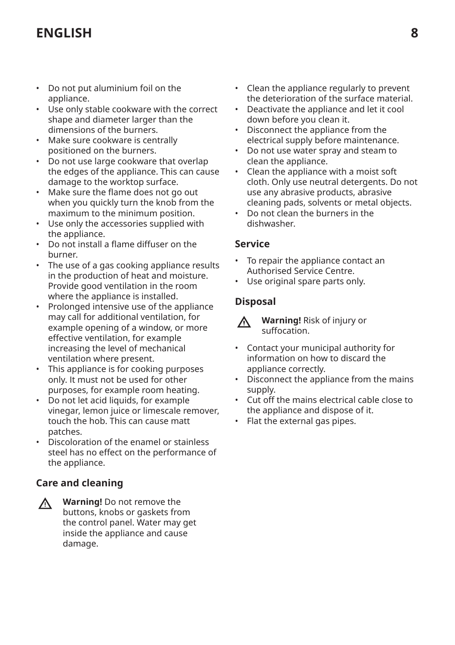- Do not put aluminium foil on the appliance.
- Use only stable cookware with the correct shape and diameter larger than the dimensions of the burners.
- Make sure cookware is centrally positioned on the burners.
- Do not use large cookware that overlap the edges of the appliance. This can cause damage to the worktop surface.
- Make sure the flame does not go out when you quickly turn the knob from the maximum to the minimum position.
- Use only the accessories supplied with the appliance.
- Do not install a flame diffuser on the burner.
- The use of a gas cooking appliance results in the production of heat and moisture. Provide good ventilation in the room where the appliance is installed.
- Prolonged intensive use of the appliance may call for additional ventilation, for example opening of a window, or more effective ventilation, for example increasing the level of mechanical ventilation where present.
- This appliance is for cooking purposes only. It must not be used for other purposes, for example room heating.
- Do not let acid liquids, for example vinegar, lemon juice or limescale remover, touch the hob. This can cause matt patches.
- Discoloration of the enamel or stainless steel has no effect on the performance of the appliance.

## **Care and cleaning**

**Warning!** Do not remove the  $\Lambda$ buttons, knobs or gaskets from the control panel. Water may get inside the appliance and cause damage.

- Clean the appliance regularly to prevent the deterioration of the surface material.
- Deactivate the appliance and let it cool down before you clean it.
- Disconnect the appliance from the electrical supply before maintenance.
- Do not use water spray and steam to clean the appliance.
- Clean the appliance with a moist soft cloth. Only use neutral detergents. Do not use any abrasive products, abrasive cleaning pads, solvents or metal objects.
- Do not clean the burners in the dishwasher.

#### **Service**

- To repair the appliance contact an Authorised Service Centre.
- Use original spare parts only.

## **Disposal**

**Warning!** Risk of injury or suffocation.

- Contact your municipal authority for information on how to discard the appliance correctly.
- Disconnect the appliance from the mains supply.
- Cut off the mains electrical cable close to the appliance and dispose of it.
- Flat the external gas pipes.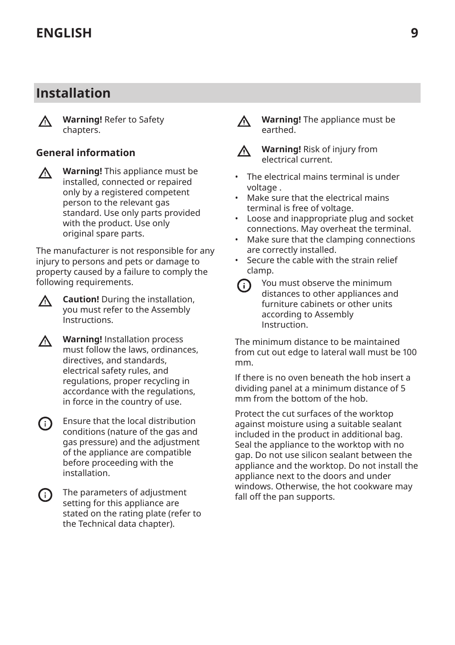# <span id="page-8-0"></span>**Installation**

 $\wedge$ 

**Warning!** Refer to Safety chapters.

## **General information**

 $\wedge$ 

**Warning!** This appliance must be installed, connected or repaired only by a registered competent person to the relevant gas standard. Use only parts provided with the product. Use only original spare parts.

The manufacturer is not responsible for any injury to persons and pets or damage to property caused by a failure to comply the following requirements.



- **Warning!** Installation process ΛN<sub>Γ</sub> must follow the laws, ordinances, directives, and standards, electrical safety rules, and regulations, proper recycling in accordance with the regulations, in force in the country of use.
- Ensure that the local distribution ⋒ conditions (nature of the gas and gas pressure) and the adjustment of the appliance are compatible before proceeding with the installation.
- The parameters of adjustment (i) setting for this appliance are stated on the rating plate (refer to the Technical data chapter).
- **Warning!** The appliance must be ∧ earthed.
- **Warning!** Risk of injury from W electrical current.
- The electrical mains terminal is under voltage .
- Make sure that the electrical mains terminal is free of voltage.
- Loose and inappropriate plug and socket connections. May overheat the terminal.
- Make sure that the clamping connections are correctly installed.
- Secure the cable with the strain relief clamp.

(i)

You must observe the minimum distances to other appliances and furniture cabinets or other units according to Assembly Instruction.

The minimum distance to be maintained from cut out edge to lateral wall must be 100 mm.

If there is no oven beneath the hob insert a dividing panel at a minimum distance of 5 mm from the bottom of the hob.

Protect the cut surfaces of the worktop against moisture using a suitable sealant included in the product in additional bag. Seal the appliance to the worktop with no gap. Do not use silicon sealant between the appliance and the worktop. Do not install the appliance next to the doors and under windows. Otherwise, the hot cookware may fall off the pan supports.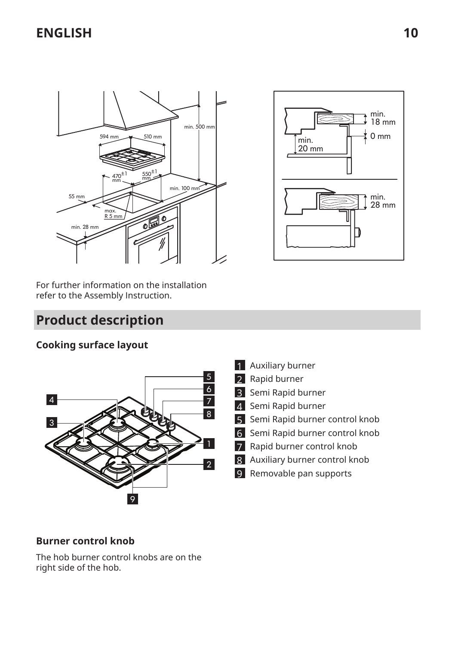<span id="page-9-0"></span>



For further information on the installation refer to the Assembly Instruction.

# **Product description**

## **Cooking surface layout**



- 1 Auxiliary burner
- 2 Rapid burner
- 3 Semi Rapid burner
- 4 Semi Rapid burner
- 5 Semi Rapid burner control knob
- 6 Semi Rapid burner control knob
- 7 Rapid burner control knob
- 8 Auxiliary burner control knob
- 9 Removable pan supports

## **Burner control knob**

The hob burner control knobs are on the right side of the hob.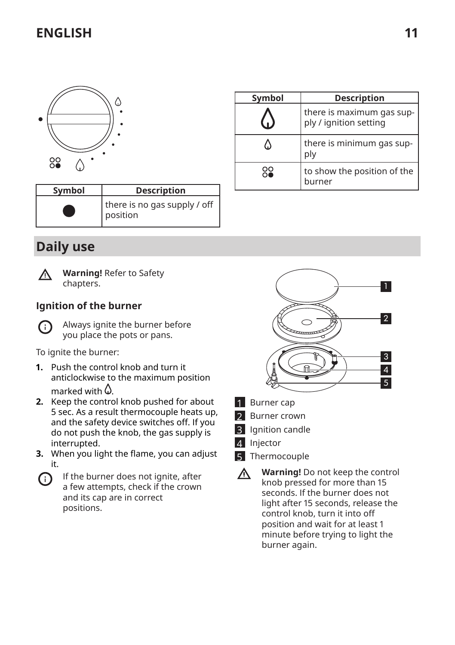<span id="page-10-0"></span>

| Symbol | <b>Description</b>                       |
|--------|------------------------------------------|
|        | there is no gas supply / off<br>position |

## **Daily use**



**Warning!** Refer to Safety chapters.

## **Ignition of the burner**



Always ignite the burner before you place the pots or pans.

To ignite the burner:

- **1.** Push the control knob and turn it anticlockwise to the maximum position marked with  $\Omega$ .
- **2.** Keep the control knob pushed for about 5 sec. As a result thermocouple heats up, and the safety device switches off. If you do not push the knob, the gas supply is interrupted.
- **3.** When you light the flame, you can adjust it.
- If the burner does not ignite, after G) a few attempts, check if the crown and its cap are in correct positions.



**Symbol Description**

ply

l.  $\Delta$ 

88

burner

there is maximum gas sup‐ ply / ignition setting

there is minimum gas sup‐

to show the position of the

- 1 Burner cap
- 2 Burner crown
- **3** Ignition candle
- 4 Injector
- 5 Thermocouple
- **Warning!** Do not keep the control  $\Lambda$ knob pressed for more than 15 seconds. If the burner does not light after 15 seconds, release the control knob, turn it into off position and wait for at least 1 minute before trying to light the burner again.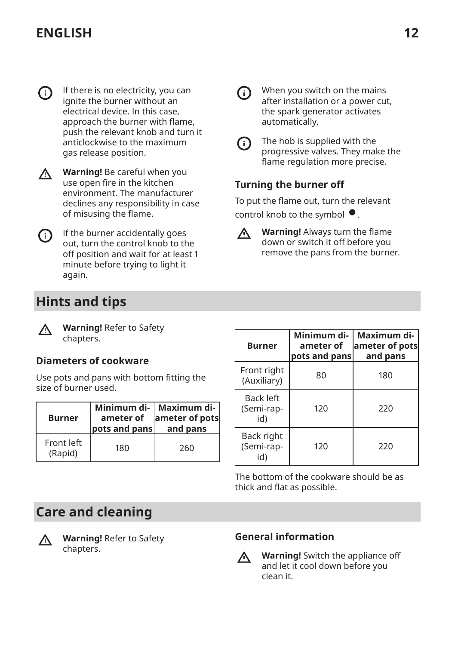<span id="page-11-0"></span>If there is no electricity, you can (i) ignite the burner without an electrical device. In this case, approach the burner with flame, push the relevant knob and turn it anticlockwise to the maximum gas release position.



**Warning!** Be careful when you use open fire in the kitchen environment. The manufacturer declines any responsibility in case of misusing the flame.



If the burner accidentally goes out, turn the control knob to the off position and wait for at least 1 minute before trying to light it again.

# **Hints and tips**

**Warning!** Refer to Safety ∧ chapters.

## **Diameters of cookware**

Use pots and pans with bottom fitting the size of burner used.

| <b>Burner</b>         | ameter of<br>pots and pans | Minimum di-   Maximum di-<br>ameter of pots<br>and pans |
|-----------------------|----------------------------|---------------------------------------------------------|
| Front left<br>(Rapid) | 180                        | 260                                                     |



The bottom of the cookware should be as thick and flat as possible.

# **Care and cleaning**



**Warning!** Refer to Safety chapters.

## **General information**



**Warning!** Switch the appliance off and let it cool down before you clean it.



When you switch on the mains after installation or a power cut, the spark generator activates automatically.

G)

The hob is supplied with the progressive valves. They make the flame regulation more precise.

## **Turning the burner oԑ**

To put the flame out, turn the relevant control knob to the symbol  $\bullet$ .



**Warning!** Always turn the flame down or switch it off before you remove the pans from the burner.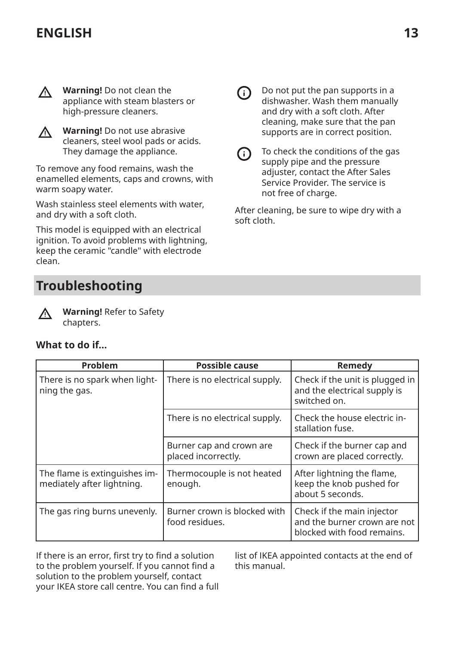<span id="page-12-0"></span>

**Warning!** Do not clean the appliance with steam blasters or high-pressure cleaners.



**Warning!** Do not use abrasive cleaners, steel wool pads or acids. They damage the appliance.

To remove any food remains, wash the enamelled elements, caps and crowns, with warm soapy water.

Wash stainless steel elements with water, and dry with a soft cloth.

This model is equipped with an electrical ignition. To avoid problems with lightning, keep the ceramic "candle" with electrode clean.

# **Troubleshooting**



**Warning!** Refer to Safety chapters.

#### **What to do if...**

| Problem                                                     | <b>Possible cause</b>                           | Remedy                                                                                   |
|-------------------------------------------------------------|-------------------------------------------------|------------------------------------------------------------------------------------------|
| There is no spark when light-<br>ning the gas.              | There is no electrical supply.                  | Check if the unit is plugged in<br>and the electrical supply is<br>switched on.          |
|                                                             | There is no electrical supply.                  | Check the house electric in-<br>stallation fuse.                                         |
|                                                             | Burner cap and crown are<br>placed incorrectly. | Check if the burner cap and<br>crown are placed correctly.                               |
| The flame is extinguishes im-<br>mediately after lightning. | Thermocouple is not heated<br>enough.           | After lightning the flame,<br>keep the knob pushed for<br>about 5 seconds.               |
| The gas ring burns unevenly.                                | Burner crown is blocked with<br>food residues.  | Check if the main injector<br>and the burner crown are not<br>blocked with food remains. |

If there is an error, first try to find a solution to the problem yourself. If you cannot find a solution to the problem yourself, contact your IKEA store call centre. You can find a full list of IKEA appointed contacts at the end of this manual.



Do not put the pan supports in a dishwasher. Wash them manually and dry with a soft cloth. After cleaning, make sure that the pan supports are in correct position.

To check the conditions of the gas ⋒ supply pipe and the pressure adjuster, contact the After Sales Service Provider. The service is not free of charge.

After cleaning, be sure to wipe dry with a soft cloth.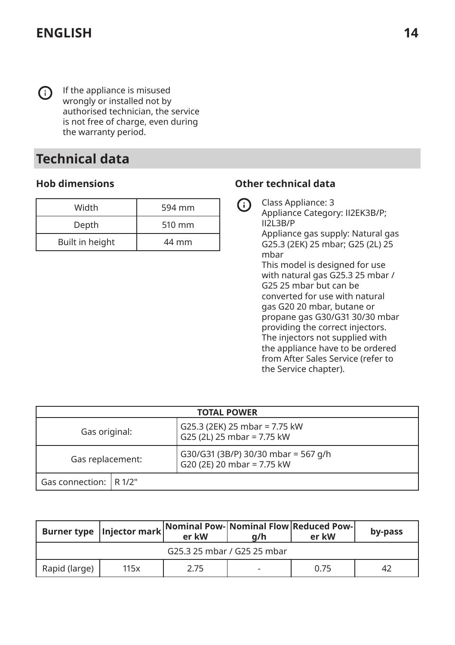<span id="page-13-0"></span>G)

If the appliance is misused wrongly or installed not by authorised technician, the service is not free of charge, even during the warranty period.

# **Technical data**

## **Hob dimensions**

| Width           | 594 mm |
|-----------------|--------|
| Depth           | 510 mm |
| Built in height | 44 mm  |

## **Other technical data**

Class Appliance: 3 G Appliance Category: II2EK3B/P; II2L3B/P Appliance gas supply: Natural gas G25.3 (2EK) 25 mbar; G25 (2L) 25 mbar This model is designed for use with natural gas G25.3 25 mbar / G25 25 mbar but can be converted for use with natural gas G20 20 mbar, butane or propane gas G30/G31 30/30 mbar providing the correct injectors. The injectors not supplied with the appliance have to be ordered from After Sales Service (refer to the Service chapter).

| <b>TOTAL POWER</b>       |  |                                                                   |
|--------------------------|--|-------------------------------------------------------------------|
| Gas original:            |  | G25.3 (2EK) 25 mbar = 7.75 kW<br>G25 (2L) 25 mbar = 7.75 kW       |
| Gas replacement:         |  | G30/G31 (3B/P) 30/30 mbar = 567 g/h<br>G20 (2E) 20 mbar = 7.75 kW |
| Gas connection:   R 1/2" |  |                                                                   |

|               | Burner type   Injector mark | er kW                       | a/h | Nominal Pow- Nominal Flow Reduced Pow-<br>er kW | by-pass |
|---------------|-----------------------------|-----------------------------|-----|-------------------------------------------------|---------|
|               |                             | G25.3 25 mbar / G25 25 mbar |     |                                                 |         |
| Rapid (large) | 115x                        | 2.75                        |     | 0.75                                            | 42      |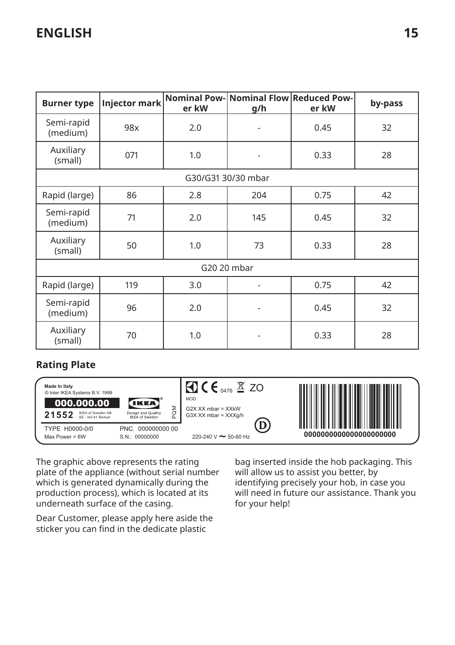| <b>Burner type</b>     | <b>Injector mark</b> | er kW | Nominal Pow- Nominal Flow Reduced Pow-<br>g/h | er kW | by-pass |
|------------------------|----------------------|-------|-----------------------------------------------|-------|---------|
| Semi-rapid<br>(medium) | 98x                  | 2.0   |                                               | 0.45  | 32      |
| Auxiliary<br>(small)   | 071                  | 1.0   |                                               | 0.33  | 28      |
|                        |                      |       | G30/G31 30/30 mbar                            |       |         |
| Rapid (large)          | 86                   | 2.8   | 204                                           | 0.75  | 42      |
| Semi-rapid<br>(medium) | 71                   | 2.0   | 145                                           | 0.45  | 32      |
| Auxiliary<br>(small)   | 50                   | 1.0   | 73                                            | 0.33  | 28      |
|                        | G20 20 mbar          |       |                                               |       |         |
| Rapid (large)          | 119                  | 3.0   |                                               | 0.75  | 42      |
| Semi-rapid<br>(medium) | 96                   | 2.0   |                                               | 0.45  | 32      |
| Auxiliary<br>(small)   | 70                   | 1.0   |                                               | 0.33  | 28      |

## **Rating Plate**



The graphic above represents the rating plate of the appliance (without serial number which is generated dynamically during the production process), which is located at its underneath surface of the casing.

Dear Customer, please apply here aside the sticker you can find in the dedicate plastic

bag inserted inside the hob packaging. This will allow us to assist you better, by identifying precisely your hob, in case you will need in future our assistance. Thank you for your help!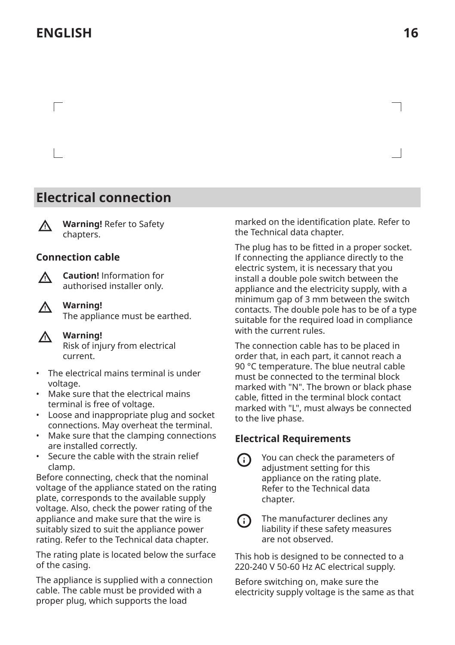<span id="page-15-0"></span> $\Box$ 

# **Electrical connection**

 $\Lambda$ 

**Warning!** Refer to Safety chapters.

#### **Connection cable**



**Caution!** Information for authorised installer only.



**Warning!**

The appliance must be earthed.



**Warning!**

Risk of injury from electrical current.

- The electrical mains terminal is under voltage.
- Make sure that the electrical mains terminal is free of voltage.
- Loose and inappropriate plug and socket connections. May overheat the terminal.
- Make sure that the clamping connections are installed correctly.
- Secure the cable with the strain relief clamp.

Before connecting, check that the nominal voltage of the appliance stated on the rating plate, corresponds to the available supply voltage. Also, check the power rating of the appliance and make sure that the wire is suitably sized to suit the appliance power rating. Refer to the Technical data chapter.

The rating plate is located below the surface of the casing.

The appliance is supplied with a connection cable. The cable must be provided with a proper plug, which supports the load

marked on the identification plate. Refer to the Technical data chapter.

The plug has to be fitted in a proper socket. If connecting the appliance directly to the electric system, it is necessary that you install a double pole switch between the appliance and the electricity supply, with a minimum gap of 3 mm between the switch contacts. The double pole has to be of a type suitable for the required load in compliance with the current rules.

The connection cable has to be placed in order that, in each part, it cannot reach a 90 °C temperature. The blue neutral cable must be connected to the terminal block marked with "N". The brown or black phase cable, fitted in the terminal block contact marked with "L", must always be connected to the live phase.

## **Electrical Requirements**

⋒

You can check the parameters of adjustment setting for this appliance on the rating plate. Refer to the Technical data chapter.



The manufacturer declines any liability if these safety measures are not observed.

This hob is designed to be connected to a 220-240 V 50-60 Hz AC electrical supply.

Before switching on, make sure the electricity supply voltage is the same as that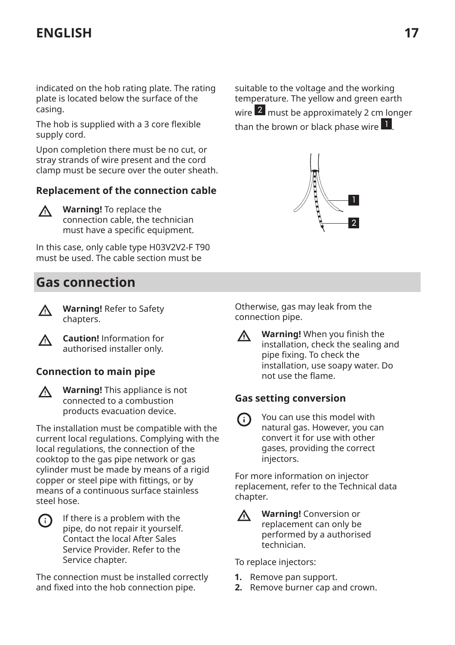<span id="page-16-0"></span>indicated on the hob rating plate. The rating plate is located below the surface of the casing.

The hob is supplied with a 3 core flexible supply cord.

Upon completion there must be no cut, or stray strands of wire present and the cord clamp must be secure over the outer sheath.

#### **Replacement of the connection cable**

**Warning!** To replace the ∧ connection cable, the technician must have a specific equipment.

In this case, only cable type H03V2V2-F T90 must be used. The cable section must be

# **Gas connection**



**Warning!** Refer to Safety chapters.

**Caution!** Information for ∧ authorised installer only.

## **Connection to main pipe**

**Warning!** This appliance is not connected to a combustion products evacuation device.

The installation must be compatible with the current local regulations. Complying with the local regulations, the connection of the cooktop to the gas pipe network or gas cylinder must be made by means of a rigid copper or steel pipe with fittings, or by means of a continuous surface stainless steel hose.

| $\bigcirc$ | If there is a problem with the   |
|------------|----------------------------------|
|            | pipe, do not repair it yourself. |
|            | Contact the local After Sales    |
|            | Service Provider. Refer to the   |
|            | Service chapter.                 |

The connection must be installed correctly and fixed into the hob connection pipe.

suitable to the voltage and the working temperature. The yellow and green earth wire 2 must be approximately 2 cm longer than the brown or black phase wire 1 .



Otherwise, gas may leak from the connection pipe.

**Warning!** When you finish the Л installation, check the sealing and pipe fixing. To check the installation, use soapy water. Do not use the flame.

#### **Gas setting conversion**

You can use this model with ⋒ natural gas. However, you can convert it for use with other gases, providing the correct injectors.

For more information on injector replacement, refer to the Technical data chapter.

∧

**Warning!** Conversion or replacement can only be performed by a authorised technician.

To replace injectors:

- **1.** Remove pan support.
- **2.** Remove burner cap and crown.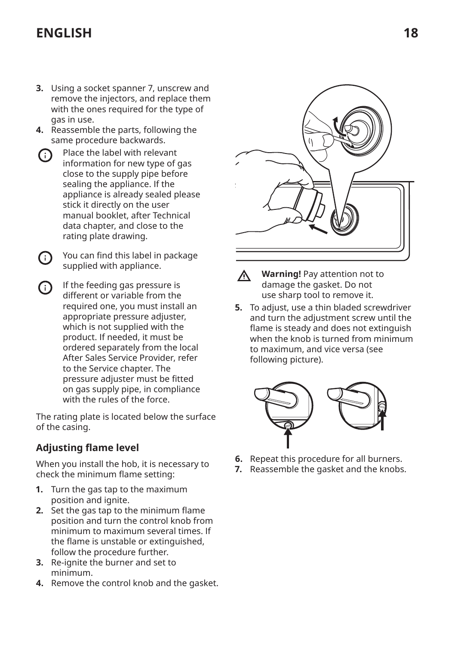- **3.** Using a socket spanner 7, unscrew and remove the injectors, and replace them with the ones required for the type of gas in use.
- **4.** Reassemble the parts, following the same procedure backwards.
- Place the label with relevant  $(i)$ information for new type of gas close to the supply pipe before sealing the appliance. If the appliance is already sealed please stick it directly on the user manual booklet, after Technical data chapter, and close to the rating plate drawing.
- You can find this label in package ⋒ supplied with appliance.
- If the feeding gas pressure is different or variable from the required one, you must install an appropriate pressure adjuster, which is not supplied with the product. If needed, it must be ordered separately from the local After Sales Service Provider, refer to the Service chapter. The pressure adjuster must be fitted on gas supply pipe, in compliance with the rules of the force.

The rating plate is located below the surface of the casing.

## **Adjusting flame level**

When you install the hob, it is necessary to check the minimum flame setting:

- **1.** Turn the gas tap to the maximum position and ignite.
- **2.** Set the gas tap to the minimum flame position and turn the control knob from minimum to maximum several times. If the flame is unstable or extinguished, follow the procedure further.
- **3.** Re-ignite the burner and set to minimum.
- **4.** Remove the control knob and the gasket.



- **Warning!** Pay attention not to Λ damage the gasket. Do not use sharp tool to remove it.
- **5.** To adjust, use a thin bladed screwdriver and turn the adjustment screw until the flame is steady and does not extinguish when the knob is turned from minimum to maximum, and vice versa (see following picture).



- **6.** Repeat this procedure for all burners.
- **7.** Reassemble the gasket and the knobs.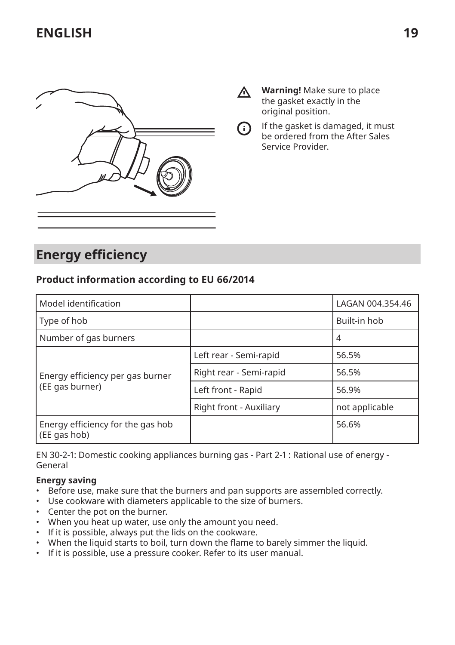<span id="page-18-0"></span>

- **Warning!** Make sure to place  $\wedge$ the gasket exactly in the original position.
- If the gasket is damaged, it must ⋒ be ordered from the After Sales Service Provider.

# **Energy efficiency**

## **Product information according to EU 66/2014**

| Model identification                                |                         | LAGAN 004.354.46 |
|-----------------------------------------------------|-------------------------|------------------|
| Type of hob                                         |                         | Built-in hob     |
| Number of gas burners                               |                         | 4                |
| Energy efficiency per gas burner<br>(EE gas burner) | Left rear - Semi-rapid  | 56.5%            |
|                                                     | Right rear - Semi-rapid | 56.5%            |
|                                                     | Left front - Rapid      | 56.9%            |
|                                                     | Right front - Auxiliary | not applicable   |
| Energy efficiency for the gas hob<br>(EE gas hob)   |                         | 56.6%            |

EN 30-2-1: Domestic cooking appliances burning gas - Part 2-1 : Rational use of energy - General

#### **Energy saving**

- Before use, make sure that the burners and pan supports are assembled correctly.
- Use cookware with diameters applicable to the size of burners.
- Center the pot on the burner.
- When you heat up water, use only the amount you need.
- If it is possible, always put the lids on the cookware.
- When the liquid starts to boil, turn down the flame to barely simmer the liquid.
- If it is possible, use a pressure cooker. Refer to its user manual.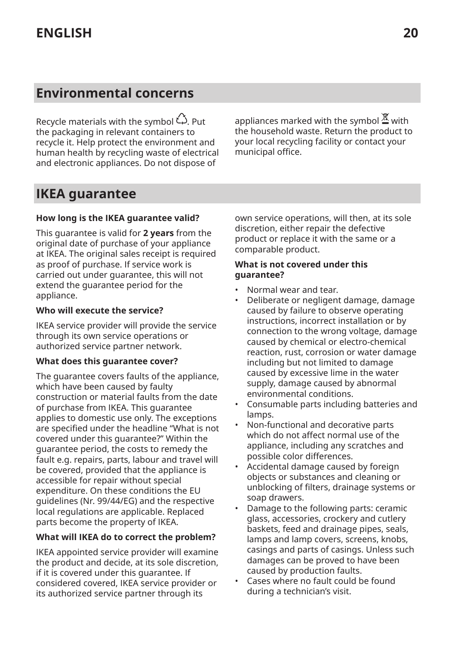# <span id="page-19-0"></span>**Environmental concerns**

Recycle materials with the symbol  $\hat{L}$ . Put the packaging in relevant containers to recycle it. Help protect the environment and human health by recycling waste of electrical and electronic appliances. Do not dispose of

appliances marked with the symbol  $\Xi$  with the household waste. Return the product to your local recycling facility or contact your municipal office.

# **IKEA guarantee**

#### **How long is the IKEA guarantee valid?**

This guarantee is valid for **2 years** from the original date of purchase of your appliance at IKEA. The original sales receipt is required as proof of purchase. If service work is carried out under guarantee, this will not extend the guarantee period for the appliance.

#### **Who will execute the service?**

IKEA service provider will provide the service through its own service operations or authorized service partner network.

#### **What does this guarantee cover?**

The guarantee covers faults of the appliance, which have been caused by faulty construction or material faults from the date of purchase from IKEA. This guarantee applies to domestic use only. The exceptions are specified under the headline "What is not covered under this guarantee?" Within the guarantee period, the costs to remedy the fault e.g. repairs, parts, labour and travel will be covered, provided that the appliance is accessible for repair without special expenditure. On these conditions the EU guidelines (Nr. 99/44/EG) and the respective local regulations are applicable. Replaced parts become the property of IKEA.

#### **What will IKEA do to correct the problem?**

IKEA appointed service provider will examine the product and decide, at its sole discretion, if it is covered under this guarantee. If considered covered, IKEA service provider or its authorized service partner through its

own service operations, will then, at its sole discretion, either repair the defective product or replace it with the same or a comparable product.

#### **What is not covered under this guarantee?**

- Normal wear and tear.
- Deliberate or negligent damage, damage caused by failure to observe operating instructions, incorrect installation or by connection to the wrong voltage, damage caused by chemical or electro-chemical reaction, rust, corrosion or water damage including but not limited to damage caused by excessive lime in the water supply, damage caused by abnormal environmental conditions.
- Consumable parts including batteries and lamps.
- Non-functional and decorative parts which do not affect normal use of the appliance, including any scratches and possible color differences.
- Accidental damage caused by foreign objects or substances and cleaning or unblocking of filters, drainage systems or soap drawers.
- Damage to the following parts: ceramic glass, accessories, crockery and cutlery baskets, feed and drainage pipes, seals, lamps and lamp covers, screens, knobs, casings and parts of casings. Unless such damages can be proved to have been caused by production faults.
- Cases where no fault could be found during a technician's visit.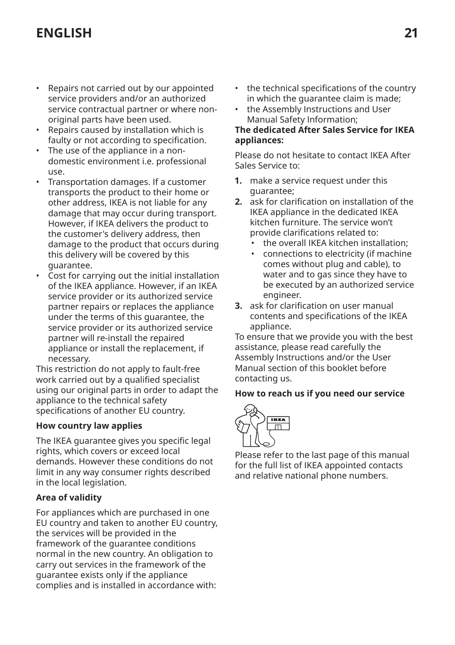- Repairs not carried out by our appointed service providers and/or an authorized service contractual partner or where nonoriginal parts have been used.
- Repairs caused by installation which is faulty or not according to specification.
- The use of the appliance in a nondomestic environment i.e. professional use.
- Transportation damages. If a customer transports the product to their home or other address, IKEA is not liable for any damage that may occur during transport. However, if IKEA delivers the product to the customer's delivery address, then damage to the product that occurs during this delivery will be covered by this guarantee.
- Cost for carrying out the initial installation of the IKEA appliance. However, if an IKEA service provider or its authorized service partner repairs or replaces the appliance under the terms of this guarantee, the service provider or its authorized service partner will re-install the repaired appliance or install the replacement, if necessary.

This restriction do not apply to fault-free work carried out by a qualified specialist using our original parts in order to adapt the appliance to the technical safety specifications of another EU country.

#### **How country law applies**

The IKEA guarantee gives you specific legal rights, which covers or exceed local demands. However these conditions do not limit in any way consumer rights described in the local legislation.

#### **Area of validity**

For appliances which are purchased in one EU country and taken to another EU country, the services will be provided in the framework of the guarantee conditions normal in the new country. An obligation to carry out services in the framework of the guarantee exists only if the appliance complies and is installed in accordance with:

- the technical specifications of the country in which the guarantee claim is made;
- the Assembly Instructions and User Manual Safety Information;

#### **The dedicated After Sales Service for IKEA appliances:**

Please do not hesitate to contact IKEA After Sales Service to:

- **1.** make a service request under this guarantee;
- **2.** ask for clarification on installation of the IKEA appliance in the dedicated IKEA kitchen furniture. The service won't provide clarifications related to:
	- the overall IKEA kitchen installation;
	- connections to electricity (if machine comes without plug and cable), to water and to gas since they have to be executed by an authorized service engineer.
- **3.** ask for clarification on user manual contents and specifications of the IKEA appliance.

To ensure that we provide you with the best assistance, please read carefully the Assembly Instructions and/or the User Manual section of this booklet before contacting us.

#### **How to reach us if you need our service**



Please refer to the last page of this manual for the full list of IKEA appointed contacts and relative national phone numbers.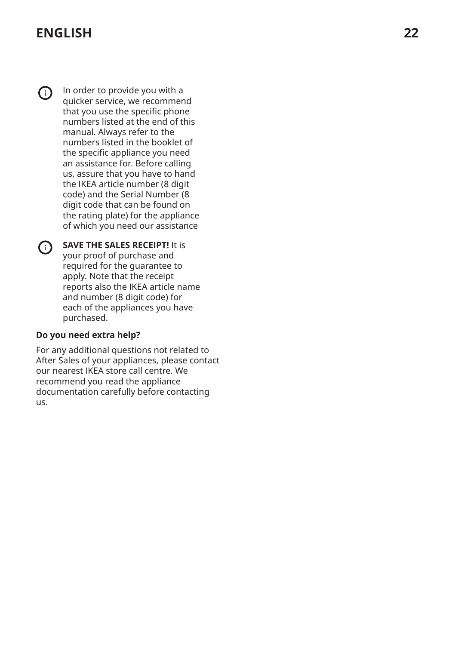(i) In order to provide you with a quicker service, we recommend that you use the specific phone numbers listed at the end of this manual. Always refer to the numbers listed in the booklet of the specific appliance you need an assistance for. Before calling us, assure that you have to hand the IKEA article number (8 digit code) and the Serial Number (8 digit code that can be found on the rating plate) for the appliance of which you need our assistance

**SAVE THE SALES RECEIPT!** It is your proof of purchase and required for the guarantee to apply. Note that the receipt reports also the IKEA article name and number (8 digit code) for each of the appliances you have purchased.

#### **Do you need extra help?**

For any additional questions not related to After Sales of your appliances, please contact our nearest IKEA store call centre. We recommend you read the appliance documentation carefully before contacting us.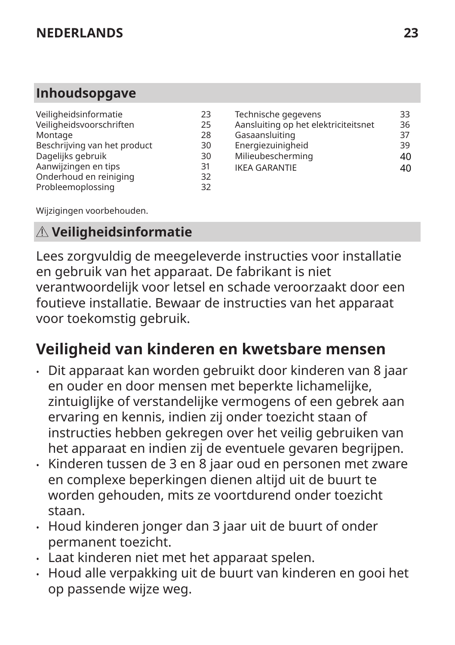# <span id="page-22-0"></span>**Inhoudsopgave**

| Veiligheidsinformatie        | 23 |
|------------------------------|----|
| Veiligheidsvoorschriften     | 25 |
| Montage                      | 28 |
| Beschrijving van het product | 30 |
| Dagelijks gebruik            | 30 |
| Aanwijzingen en tips         | 31 |
| Onderhoud en reiniging       | 32 |
| Probleemoplossing            | 32 |
|                              |    |

| Technische gegevens                  | 33 |
|--------------------------------------|----|
| Aansluiting op het elektriciteitsnet | 36 |
| Gasaansluiting                       | 37 |
| Energiezuinigheid                    | 39 |
| Milieubescherming                    | 40 |
| <b>IKEA GARANTIE</b>                 | ⊿∩ |

Wijzigingen voorbehouden.

# **Veiligheidsinformatie**

Lees zorgvuldig de meegeleverde instructies voor installatie en gebruik van het apparaat. De fabrikant is niet verantwoordelijk voor letsel en schade veroorzaakt door een foutieve installatie. Bewaar de instructies van het apparaat voor toekomstig gebruik.

# **Veiligheid van kinderen en kwetsbare mensen**

- Dit apparaat kan worden gebruikt door kinderen van 8 jaar en ouder en door mensen met beperkte lichamelijke, zintuiglijke of verstandelijke vermogens of een gebrek aan ervaring en kennis, indien zij onder toezicht staan of instructies hebben gekregen over het veilig gebruiken van het apparaat en indien zij de eventuele gevaren begrijpen.
- Kinderen tussen de 3 en 8 jaar oud en personen met zware en complexe beperkingen dienen altijd uit de buurt te worden gehouden, mits ze voortdurend onder toezicht staan.
- Houd kinderen jonger dan 3 jaar uit de buurt of onder permanent toezicht.
- Laat kinderen niet met het apparaat spelen.
- Houd alle verpakking uit de buurt van kinderen en gooi het op passende wijze weg.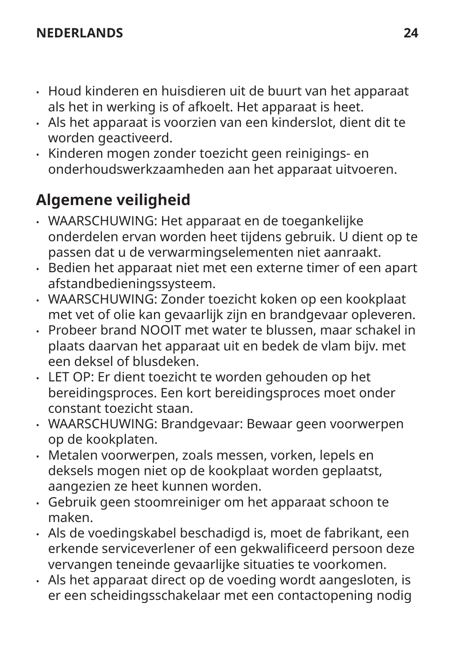- Houd kinderen en huisdieren uit de buurt van het apparaat als het in werking is of afkoelt. Het apparaat is heet.
- Als het apparaat is voorzien van een kinderslot, dient dit te worden geactiveerd.
- Kinderen mogen zonder toezicht geen reinigings- en onderhoudswerkzaamheden aan het apparaat uitvoeren.

# **Algemene veiligheid**

- WAARSCHUWING: Het apparaat en de toegankelijke onderdelen ervan worden heet tijdens gebruik. U dient op te passen dat u de verwarmingselementen niet aanraakt.
- Bedien het apparaat niet met een externe timer of een apart afstandbedieningssysteem.
- WAARSCHUWING: Zonder toezicht koken op een kookplaat met vet of olie kan gevaarlijk zijn en brandgevaar opleveren.
- Probeer brand NOOIT met water te blussen, maar schakel in plaats daarvan het apparaat uit en bedek de vlam bijv. met een deksel of blusdeken.
- LET OP: Er dient toezicht te worden gehouden op het bereidingsproces. Een kort bereidingsproces moet onder constant toezicht staan.
- WAARSCHUWING: Brandgevaar: Bewaar geen voorwerpen op de kookplaten.
- Metalen voorwerpen, zoals messen, vorken, lepels en deksels mogen niet op de kookplaat worden geplaatst, aangezien ze heet kunnen worden.
- Gebruik geen stoomreiniger om het apparaat schoon te maken.
- Als de voedingskabel beschadigd is, moet de fabrikant, een erkende serviceverlener of een gekwalificeerd persoon deze vervangen teneinde gevaarlijke situaties te voorkomen.
- Als het apparaat direct op de voeding wordt aangesloten, is er een scheidingsschakelaar met een contactopening nodig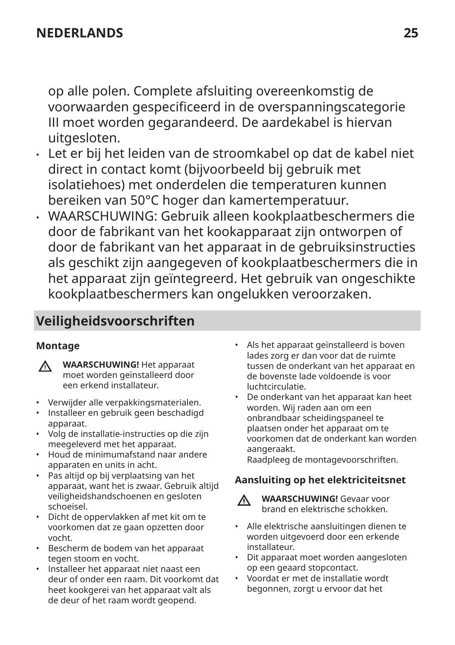<span id="page-24-0"></span>op alle polen. Complete afsluiting overeenkomstig de voorwaarden gespecificeerd in de overspanningscategorie III moet worden gegarandeerd. De aardekabel is hiervan uitgesloten.

- Let er bij het leiden van de stroomkabel op dat de kabel niet direct in contact komt (bijvoorbeeld bij gebruik met isolatiehoes) met onderdelen die temperaturen kunnen bereiken van 50°C hoger dan kamertemperatuur.
- WAARSCHUWING: Gebruik alleen kookplaatbeschermers die door de fabrikant van het kookapparaat zijn ontworpen of door de fabrikant van het apparaat in de gebruiksinstructies als geschikt zijn aangegeven of kookplaatbeschermers die in het apparaat zijn geïntegreerd. Het gebruik van ongeschikte kookplaatbeschermers kan ongelukken veroorzaken.

# **Veiligheidsvoorschriften**

## **Montage**

- **WAARSCHUWING!** Het apparaat ∧ moet worden geïnstalleerd door een erkend installateur.
- Verwijder alle verpakkingsmaterialen.
- Installeer en gebruik geen beschadigd apparaat.
- Volg de installatie-instructies op die zijn meegeleverd met het apparaat.
- Houd de minimumafstand naar andere apparaten en units in acht.
- Pas altijd op bij verplaatsing van het apparaat, want het is zwaar. Gebruik altijd veiligheidshandschoenen en gesloten schoeisel.
- Dicht de oppervlakken af met kit om te voorkomen dat ze gaan opzetten door vocht.
- Bescherm de bodem van het apparaat tegen stoom en vocht.
- Installeer het apparaat niet naast een deur of onder een raam. Dit voorkomt dat heet kookgerei van het apparaat valt als de deur of het raam wordt geopend.
- Als het apparaat geïnstalleerd is boven lades zorg er dan voor dat de ruimte tussen de onderkant van het apparaat en de bovenste lade voldoende is voor luchtcirculatie.
- De onderkant van het apparaat kan heet worden. Wij raden aan om een onbrandbaar scheidingspaneel te plaatsen onder het apparaat om te voorkomen dat de onderkant kan worden aangeraakt.

Raadpleeg de montagevoorschriften.

## **Aansluiting op het elektriciteitsnet**



- **WAARSCHUWING!** Gevaar voor brand en elektrische schokken.
- Alle elektrische aansluitingen dienen te worden uitgevoerd door een erkende installateur.
- Dit apparaat moet worden aangesloten op een geaard stopcontact.
- Voordat er met de installatie wordt begonnen, zorgt u ervoor dat het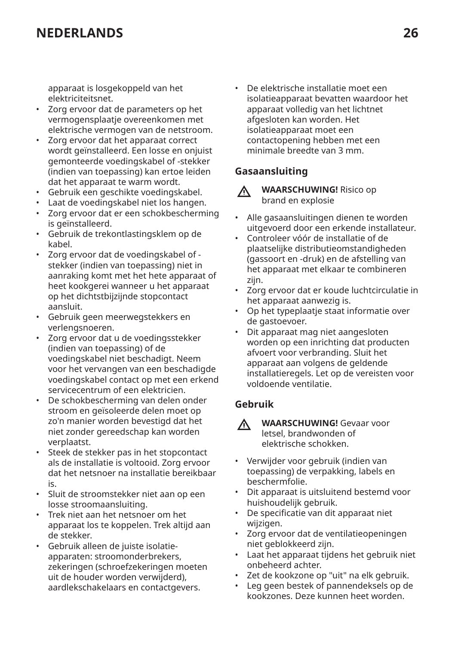apparaat is losgekoppeld van het elektriciteitsnet.

- Zorg ervoor dat de parameters op het vermogensplaatje overeenkomen met elektrische vermogen van de netstroom.
- Zorg ervoor dat het apparaat correct wordt geïnstalleerd. Een losse en onjuist gemonteerde voedingskabel of -stekker (indien van toepassing) kan ertoe leiden dat het apparaat te warm wordt.
- Gebruik een geschikte voedingskabel.
- Laat de voedingskabel niet los hangen.
- Zorg ervoor dat er een schokbescherming is geïnstalleerd.
- Gebruik de trekontlastingsklem op de kabel.
- Zorg ervoor dat de voedingskabel of stekker (indien van toepassing) niet in aanraking komt met het hete apparaat of heet kookgerei wanneer u het apparaat op het dichtstbijzijnde stopcontact aansluit.
- Gebruik geen meerwegstekkers en verlengsnoeren.
- Zorg ervoor dat u de voedingsstekker (indien van toepassing) of de voedingskabel niet beschadigt. Neem voor het vervangen van een beschadigde voedingskabel contact op met een erkend servicecentrum of een elektricien.
- De schokbescherming van delen onder stroom en geïsoleerde delen moet op zo'n manier worden bevestigd dat het niet zonder gereedschap kan worden verplaatst.
- Steek de stekker pas in het stopcontact als de installatie is voltooid. Zorg ervoor dat het netsnoer na installatie bereikbaar is.
- Sluit de stroomstekker niet aan op een losse stroomaansluiting.
- Trek niet aan het netsnoer om het apparaat los te koppelen. Trek altijd aan de stekker.
- Gebruik alleen de juiste isolatieapparaten: stroomonderbrekers, zekeringen (schroefzekeringen moeten uit de houder worden verwijderd), aardlekschakelaars en contactgevers.

• De elektrische installatie moet een isolatieapparaat bevatten waardoor het apparaat volledig van het lichtnet afgesloten kan worden. Het isolatieapparaat moet een contactopening hebben met een minimale breedte van 3 mm.

## **Gasaansluiting**



**WAARSCHUWING!** Risico op brand en explosie

- Alle gasaansluitingen dienen te worden uitgevoerd door een erkende installateur.
- Controleer vóór de installatie of de plaatselijke distributieomstandigheden (gassoort en -druk) en de afstelling van het apparaat met elkaar te combineren zijn.
- Zorg ervoor dat er koude luchtcirculatie in het apparaat aanwezig is.
- Op het typeplaatje staat informatie over de gastoevoer.
- Dit apparaat mag niet aangesloten worden op een inrichting dat producten afvoert voor verbranding. Sluit het apparaat aan volgens de geldende installatieregels. Let op de vereisten voor voldoende ventilatie.

## **Gebruik**

- **WAARSCHUWING!** Gevaar voor 八 letsel, brandwonden of elektrische schokken.
- Verwijder voor gebruik (indien van toepassing) de verpakking, labels en beschermfolie.
- Dit apparaat is uitsluitend bestemd voor huishoudelijk gebruik.
- De specificatie van dit apparaat niet wijzigen.
- Zorg ervoor dat de ventilatieopeningen niet geblokkeerd zijn.
- Laat het apparaat tijdens het gebruik niet onbeheerd achter.
- Zet de kookzone op "uit" na elk gebruik.
- Leg geen bestek of pannendeksels op de kookzones. Deze kunnen heet worden.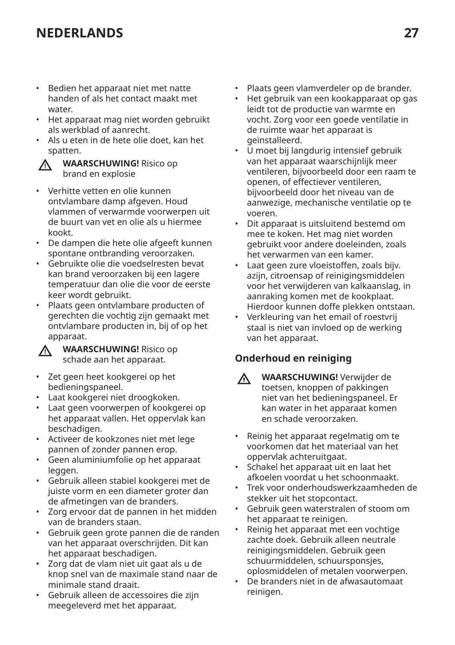- Bedien het apparaat niet met natte handen of als het contact maakt met water.
- Het apparaat mag niet worden gebruikt als werkblad of aanrecht.
- Als u eten in de hete olie doet, kan het spatten.



**WAARSCHUWING!** Risico op brand en explosie

- Verhitte vetten en olie kunnen ontvlambare damp afgeven. Houd vlammen of verwarmde voorwerpen uit de buurt van vet en olie als u hiermee kookt.
- De dampen die hete olie afgeeft kunnen spontane ontbranding veroorzaken.
- Gebruikte olie die voedselresten bevat kan brand veroorzaken bij een lagere temperatuur dan olie die voor de eerste keer wordt gebruikt.
- Plaats geen ontvlambare producten of gerechten die vochtig zijn gemaakt met ontvlambare producten in, bij of op het apparaat.



**WAARSCHUWING!** Risico op schade aan het apparaat.

- Zet geen heet kookgerei op het bedieningspaneel.
- Laat kookgerei niet droogkoken.
- Laat geen voorwerpen of kookgerei op het apparaat vallen. Het oppervlak kan beschadigen.
- Activeer de kookzones niet met lege pannen of zonder pannen erop.
- Geen aluminiumfolie op het apparaat leggen.
- Gebruik alleen stabiel kookgerei met de juiste vorm en een diameter groter dan de afmetingen van de branders.
- Zorg ervoor dat de pannen in het midden van de branders staan.
- Gebruik geen grote pannen die de randen van het apparaat overschrijden. Dit kan het apparaat beschadigen.
- Zorg dat de vlam niet uit gaat als u de knop snel van de maximale stand naar de minimale stand draait.
- Gebruik alleen de accessoires die zijn meegeleverd met het apparaat.
- Plaats geen vlamverdeler op de brander.
- Het gebruik van een kookapparaat op gas leidt tot de productie van warmte en vocht. Zorg voor een goede ventilatie in de ruimte waar het apparaat is geïnstalleerd.
- U moet bij langdurig intensief gebruik van het apparaat waarschijnlijk meer ventileren, bijvoorbeeld door een raam te openen, of effectiever ventileren, bijvoorbeeld door het niveau van de aanwezige, mechanische ventilatie op te voeren.
- Dit apparaat is uitsluitend bestemd om mee te koken. Het mag niet worden gebruikt voor andere doeleinden, zoals het verwarmen van een kamer.
- Laat geen zure vloeistoffen, zoals bijv. azijn, citroensap of reinigingsmiddelen voor het verwijderen van kalkaanslag, in aanraking komen met de kookplaat. Hierdoor kunnen doffe plekken ontstaan.
- Verkleuring van het email of roestvrij staal is niet van invloed op de werking van het apparaat.

## **Onderhoud en reiniging**

- **WAARSCHUWING!** Verwijder de Λ toetsen, knoppen of pakkingen niet van het bedieningspaneel. Er kan water in het apparaat komen en schade veroorzaken.
- Reinig het apparaat regelmatig om te voorkomen dat het materiaal van het oppervlak achteruitgaat.
- Schakel het apparaat uit en laat het afkoelen voordat u het schoonmaakt.
- Trek voor onderhoudswerkzaamheden de stekker uit het stopcontact.
- Gebruik geen waterstralen of stoom om het apparaat te reinigen.
- Reinig het apparaat met een vochtige zachte doek. Gebruik alleen neutrale reinigingsmiddelen. Gebruik geen schuurmiddelen, schuursponsjes, oplosmiddelen of metalen voorwerpen.
- De branders niet in de afwasautomaat reinigen.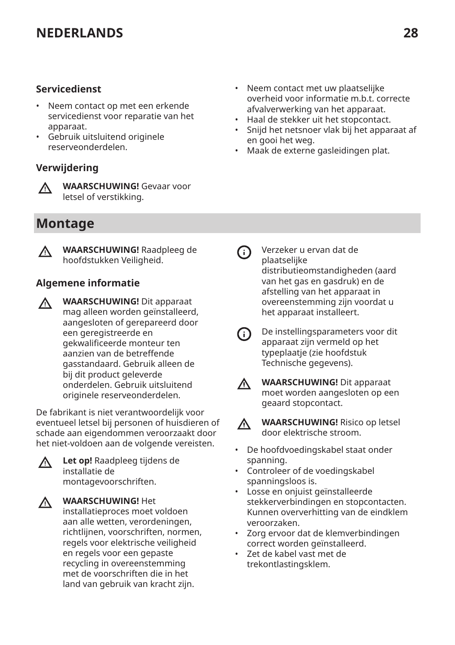## <span id="page-27-0"></span>**Servicedienst**

- Neem contact op met een erkende servicedienst voor reparatie van het apparaat.
- Gebruik uitsluitend originele reserveonderdelen.

## **Verwijdering**



**WAARSCHUWING!** Gevaar voor letsel of verstikking.

# **Montage**



**WAARSCHUWING!** Raadpleeg de hoofdstukken Veiligheid.

## **Algemene informatie**

**WAARSCHUWING!** Dit apparaat  $\Lambda$ mag alleen worden geïnstalleerd, aangesloten of gerepareerd door een geregistreerde en gekwalificeerde monteur ten aanzien van de betreffende gasstandaard. Gebruik alleen de bij dit product geleverde onderdelen. Gebruik uitsluitend originele reserveonderdelen.

De fabrikant is niet verantwoordelijk voor eventueel letsel bij personen of huisdieren of schade aan eigendommen veroorzaakt door het niet-voldoen aan de volgende vereisten.

ΛN,

**Let op!** Raadpleeg tijdens de installatie de montagevoorschriften.

**WAARSCHUWING!** Het installatieproces moet voldoen aan alle wetten, verordeningen, richtlijnen, voorschriften, normen, regels voor elektrische veiligheid en regels voor een gepaste recycling in overeenstemming met de voorschriften die in het land van gebruik van kracht zijn.

- Neem contact met uw plaatselijke overheid voor informatie m.b.t. correcte afvalverwerking van het apparaat.
- Haal de stekker uit het stopcontact.
- Snijd het netsnoer vlak bij het apparaat af en gooi het weg.
- Maak de externe gasleidingen plat.

- Verzeker u ervan dat de ⋒ plaatselijke distributieomstandigheden (aard van het gas en gasdruk) en de afstelling van het apparaat in overeenstemming zijn voordat u het apparaat installeert.
- De instellingsparameters voor dit  $(i)$ apparaat zijn vermeld op het typeplaatje (zie hoofdstuk Technische gegevens).
- Л

**WAARSCHUWING!** Dit apparaat moet worden aangesloten op een geaard stopcontact.

W

**WAARSCHUWING!** Risico op letsel door elektrische stroom.

- De hoofdvoedingskabel staat onder spanning.
- Controleer of de voedingskabel spanningsloos is.
- Losse en onjuist geïnstalleerde stekkerverbindingen en stopcontacten. Kunnen oververhitting van de eindklem veroorzaken.
- Zorg ervoor dat de klemverbindingen correct worden geïnstalleerd.
- Zet de kabel vast met de trekontlastingsklem.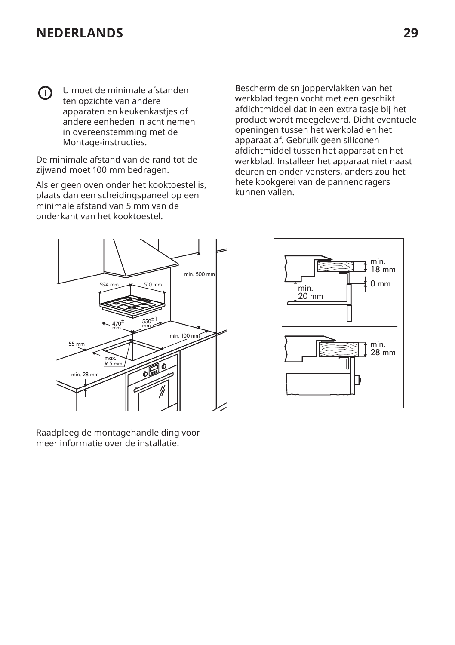U moet de minimale afstanden ⋒ ten opzichte van andere apparaten en keukenkastjes of andere eenheden in acht nemen in overeenstemming met de Montage-instructies.

De minimale afstand van de rand tot de zijwand moet 100 mm bedragen.

Als er geen oven onder het kooktoestel is, plaats dan een scheidingspaneel op een minimale afstand van 5 mm van de onderkant van het kooktoestel.

Bescherm de snijoppervlakken van het werkblad tegen vocht met een geschikt afdichtmiddel dat in een extra tasje bij het product wordt meegeleverd. Dicht eventuele openingen tussen het werkblad en het apparaat af. Gebruik geen siliconen afdichtmiddel tussen het apparaat en het werkblad. Installeer het apparaat niet naast deuren en onder vensters, anders zou het hete kookgerei van de pannendragers kunnen vallen.



Raadpleeg de montagehandleiding voor meer informatie over de installatie.

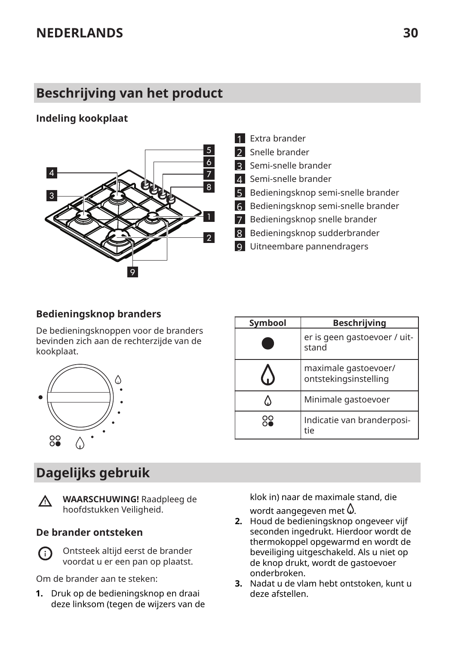# <span id="page-29-0"></span>**Beschrijving van het product**

## **Indeling kookplaat**



- 1 Extra brander 2 Snelle brander 3 Semi-snelle brander 4 Semi-snelle brander 5 Bedieningsknop semi-snelle brander 6 Bedieningsknop semi-snelle brander 7 Bedieningsknop snelle brander 8 Bedieningsknop sudderbrander
- 9 Uitneembare pannendragers

## **Bedieningsknop branders**

De bedieningsknoppen voor de branders bevinden zich aan de rechterzijde van de kookplaat.



# **Dagelijks gebruik**



**WAARSCHUWING!** Raadpleeg de hoofdstukken Veiligheid.

#### **De brander ontsteken**

Ontsteek altijd eerst de brander G voordat u er een pan op plaatst.

Om de brander aan te steken:

**1.** Druk op de bedieningsknop en draai deze linksom (tegen de wijzers van de klok in) naar de maximale stand, die wordt aangegeven met  $\mathcal{Q}$ .

- **2.** Houd de bedieningsknop ongeveer vijf seconden ingedrukt. Hierdoor wordt de thermokoppel opgewarmd en wordt de beveiliging uitgeschakeld. Als u niet op de knop drukt, wordt de gastoevoer onderbroken.
- **3.** Nadat u de vlam hebt ontstoken, kunt u deze afstellen.

| Symbool | <b>Beschrijving</b>                           |
|---------|-----------------------------------------------|
|         | er is geen gastoevoer / uit-<br>stand         |
|         | maximale gastoevoer/<br>ontstekingsinstelling |
| Ω       | Minimale gastoevoer                           |
| Óo      | Indicatie van branderposi-<br>tie             |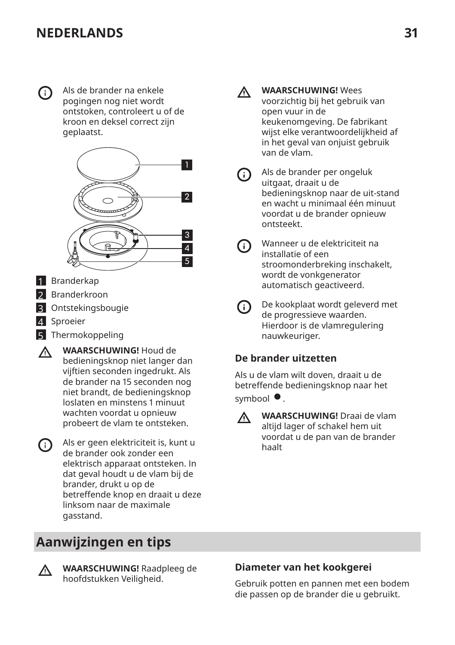<span id="page-30-0"></span>G)

Als de brander na enkele pogingen nog niet wordt ontstoken, controleert u of de kroon en deksel correct zijn geplaatst.



- 1 Branderkap
- 2 Branderkroon
- 3 Ontstekingsbougie
- 4 Sproeier
- 5 Thermokoppeling
- **WAARSCHUWING!** Houd de  $\Lambda$ bedieningsknop niet langer dan vijftien seconden ingedrukt. Als de brander na 15 seconden nog niet brandt, de bedieningsknop loslaten en minstens 1 minuut wachten voordat u opnieuw probeert de vlam te ontsteken.
- (i) Als er geen elektriciteit is, kunt u de brander ook zonder een elektrisch apparaat ontsteken. In dat geval houdt u de vlam bij de brander, drukt u op de betreffende knop en draait u deze linksom naar de maximale gasstand.

# **Aanwijzingen en tips**

**WAARSCHUWING!** Raadpleeg de hoofdstukken Veiligheid.

- Λ.
	- **WAARSCHUWING!** Wees voorzichtig bij het gebruik van open vuur in de keukenomgeving. De fabrikant wijst elke verantwoordelijkheid af in het geval van onjuist gebruik van de vlam.
	- $(i)$

Als de brander per ongeluk uitgaat, draait u de bedieningsknop naar de uit-stand en wacht u minimaal één minuut voordat u de brander opnieuw ontsteekt.

- Wanneer u de elektriciteit na ⋒ installatie of een stroomonderbreking inschakelt, wordt de vonkgenerator automatisch geactiveerd.
- De kookplaat wordt geleverd met  $(i)$ de progressieve waarden. Hierdoor is de vlamregulering nauwkeuriger.

## **De brander uitzetten**

Als u de vlam wilt doven, draait u de betreffende bedieningsknop naar het symbool  $\bullet$ .



**WAARSCHUWING!** Draai de vlam altijd lager of schakel hem uit voordat u de pan van de brander haalt

## **Diameter van het kookgerei**

Gebruik potten en pannen met een bodem die passen op de brander die u gebruikt.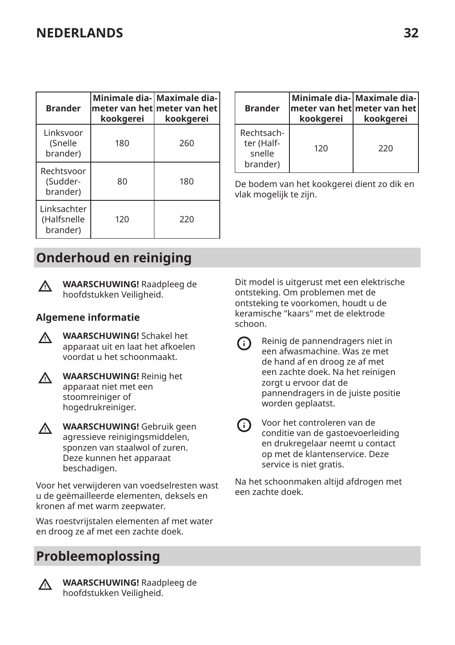<span id="page-31-0"></span>

| <b>Brander</b>                         | kookgerei | Minimale dia- Maximale dia-<br>meter van het meter van het<br>kookgerei |  |
|----------------------------------------|-----------|-------------------------------------------------------------------------|--|
| Linksvoor<br>(Snelle<br>brander)       | 180       | 260                                                                     |  |
| Rechtsvoor<br>(Sudder-<br>brander)     | 80        | 180                                                                     |  |
| Linksachter<br>(Halfsnelle<br>brander) | 120       | 220                                                                     |  |

| <b>Brander</b>                                 | kookgerei | Minimale dia- Maximale dia- <br>$ $ meter van het $ $ meter van het $ $<br>kookgerei |  |
|------------------------------------------------|-----------|--------------------------------------------------------------------------------------|--|
| Rechtsach-<br>ter (Half-<br>snelle<br>brander) | 120       | 220                                                                                  |  |

De bodem van het kookgerei dient zo dik en vlak mogelijk te zijn.

# **Onderhoud en reiniging**



**WAARSCHUWING!** Raadpleeg de hoofdstukken Veiligheid.

## **Algemene informatie**

- **WAARSCHUWING!** Schakel het W apparaat uit en laat het afkoelen voordat u het schoonmaakt.
- **WAARSCHUWING!** Reinig het Λ. apparaat niet met een stoomreiniger of hogedrukreiniger.
- **WAARSCHUWING!** Gebruik geen Λ. agressieve reinigingsmiddelen, sponzen van staalwol of zuren. Deze kunnen het apparaat beschadigen.

Voor het verwijderen van voedselresten wast u de geëmailleerde elementen, deksels en kronen af met warm zeepwater.

Was roestvrijstalen elementen af met water en droog ze af met een zachte doek.

# **Probleemoplossing**

∧

**WAARSCHUWING!** Raadpleeg de hoofdstukken Veiligheid.

Dit model is uitgerust met een elektrische ontsteking. Om problemen met de ontsteking te voorkomen, houdt u de keramische "kaars" met de elektrode schoon.

- Reinig de pannendragers niet in ⋒ een afwasmachine. Was ze met de hand af en droog ze af met een zachte doek. Na het reinigen zorgt u ervoor dat de pannendragers in de juiste positie worden geplaatst.
- Voor het controleren van de  $(i)$ conditie van de gastoevoerleiding en drukregelaar neemt u contact op met de klantenservice. Deze service is niet gratis.

Na het schoonmaken altijd afdrogen met een zachte doek.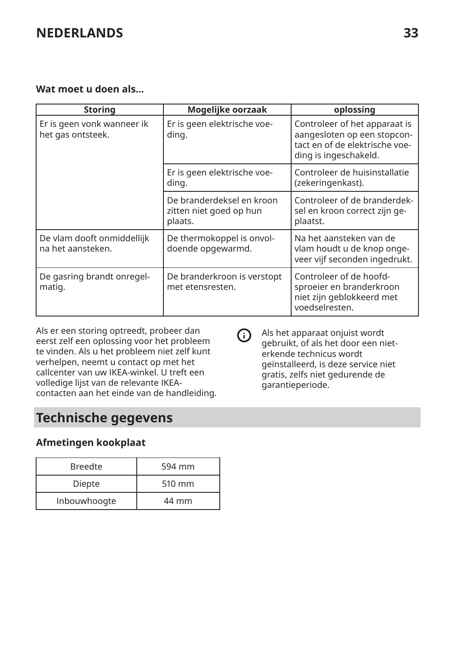## <span id="page-32-0"></span>**Wat moet u doen als...**

| <b>Storing</b>                                  | Mogelijke oorzaak                                               | oplossing                                                                                                               |
|-------------------------------------------------|-----------------------------------------------------------------|-------------------------------------------------------------------------------------------------------------------------|
| Er is geen vonk wanneer ik<br>het gas ontsteek. | Er is geen elektrische voe-<br>ding.                            | Controleer of het apparaat is<br>aangesloten op een stopcon-<br>tact en of de elektrische voe-<br>ding is ingeschakeld. |
|                                                 | Er is geen elektrische voe-<br>ding.                            | Controleer de huisinstallatie<br>(zekeringenkast).                                                                      |
|                                                 | De branderdeksel en kroon<br>zitten niet goed op hun<br>plaats. | Controleer of de branderdek-<br>sel en kroon correct zijn ge-<br>plaatst.                                               |
| De vlam dooft onmiddellijk<br>na het aansteken. | De thermokoppel is onvol-<br>doende opgewarmd.                  | Na het aansteken van de<br>vlam houdt u de knop onge-<br>veer vijf seconden ingedrukt.                                  |
| De gasring brandt onregel-<br>matiq.            | De branderkroon is verstopt<br>met etensresten.                 | Controleer of de hoofd-<br>sproeier en branderkroon<br>niet zijn geblokkeerd met<br>voedselresten.                      |

Als er een storing optreedt, probeer dan eerst zelf een oplossing voor het probleem te vinden. Als u het probleem niet zelf kunt verhelpen, neemt u contact op met het callcenter van uw IKEA-winkel. U treft een volledige lijst van de relevante IKEAcontacten aan het einde van de handleiding.

# **Technische gegevens**

## **Afmetingen kookplaat**

| <b>Breedte</b> | 594 mm |
|----------------|--------|
| Diepte         | 510 mm |
| Inbouwhoogte   | 44 mm  |

Als het apparaat onjuist wordt  $\Omega$ gebruikt, of als het door een nieterkende technicus wordt geïnstalleerd, is deze service niet gratis, zelfs niet gedurende de garantieperiode.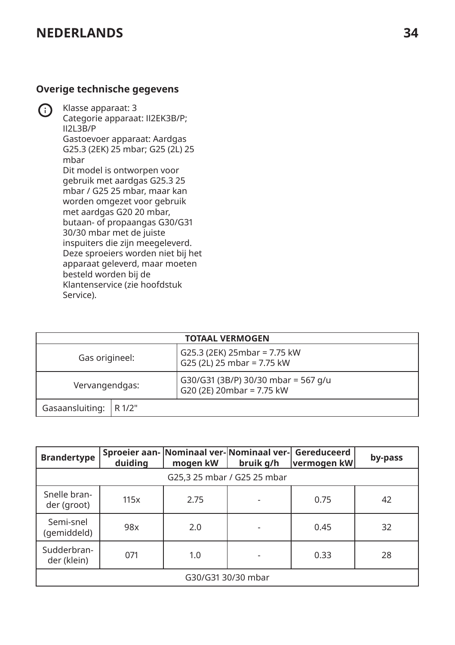## **Overige technische gegevens**

Klasse apparaat: 3 Categorie apparaat: II2EK3B/P; II2L3B/P Gastoevoer apparaat: Aardgas G25.3 (2EK) 25 mbar; G25 (2L) 25 mbar Dit model is ontworpen voor gebruik met aardgas G25.3 25 mbar / G25 25 mbar, maar kan worden omgezet voor gebruik met aardgas G20 20 mbar, butaan- of propaangas G30/G31 30/30 mbar met de juiste inspuiters die zijn meegeleverd. Deze sproeiers worden niet bij het apparaat geleverd, maar moeten besteld worden bij de Klantenservice (zie hoofdstuk Service).

| <b>TOTAAL VERMOGEN</b>   |  |                                                                  |  |  |
|--------------------------|--|------------------------------------------------------------------|--|--|
| Gas origineel:           |  | G25.3 (2EK) 25mbar = 7.75 kW<br>G25 (2L) 25 mbar = 7.75 kW       |  |  |
| Vervangendgas:           |  | G30/G31 (3B/P) 30/30 mbar = 567 g/u<br>G20 (2E) 20mbar = 7.75 kW |  |  |
| Gasaansluiting:   R 1/2" |  |                                                                  |  |  |

| <b>Brandertype</b>                                        | duiding                     | Sproeier aan- Nominaal ver-Nominaal ver- Gereduceerd<br>mogen kW | bruik g/h | ∣vermoqen kW | by-pass |  |
|-----------------------------------------------------------|-----------------------------|------------------------------------------------------------------|-----------|--------------|---------|--|
|                                                           | G25,3 25 mbar / G25 25 mbar |                                                                  |           |              |         |  |
| Snelle bran-<br>42<br>2.75<br>115x<br>0.75<br>der (groot) |                             |                                                                  |           |              |         |  |
| Semi-snel<br>(gemiddeld)                                  | 98x                         | 2.0                                                              |           | 0.45         | 32      |  |
| Sudderbran-<br>der (klein)                                | 071                         | 1.0                                                              |           | 0.33         | 28      |  |
| G30/G31 30/30 mbar                                        |                             |                                                                  |           |              |         |  |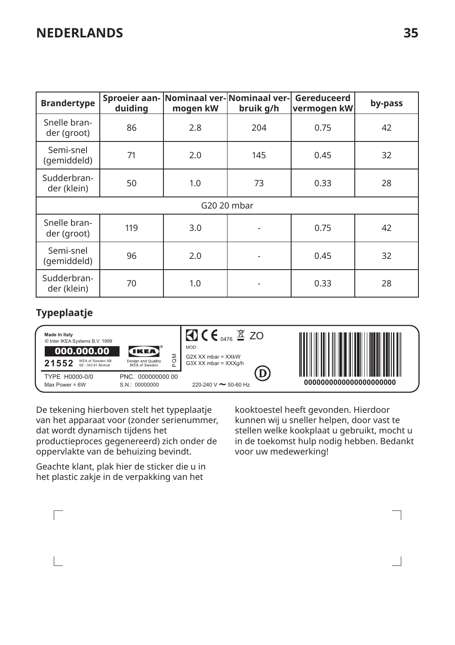| <b>Brandertype</b>          | duiding | mogen kW | Sproeier aan- Nominaal ver-Nominaal ver-<br>bruik g/h | Gereduceerd<br>vermogen kW | by-pass |  |  |
|-----------------------------|---------|----------|-------------------------------------------------------|----------------------------|---------|--|--|
| Snelle bran-<br>der (groot) | 86      | 2.8      | 204                                                   | 0.75                       | 42      |  |  |
| Semi-snel<br>(gemiddeld)    | 71      | 2.0      | 145                                                   | 0.45                       | 32      |  |  |
| Sudderbran-<br>der (klein)  | 50      | 1.0      | 73                                                    | 0.33                       | 28      |  |  |
| G20 20 mbar                 |         |          |                                                       |                            |         |  |  |
| Snelle bran-<br>der (groot) | 119     | 3.0      | ٠                                                     | 0.75                       | 42      |  |  |
| Semi-snel<br>(gemiddeld)    | 96      | 2.0      |                                                       | 0.45                       | 32      |  |  |
| Sudderbran-<br>der (klein)  | 70      | 1.0      |                                                       | 0.33                       | 28      |  |  |

## **Typeplaatje**

 $\Box$ 



De tekening hierboven stelt het typeplaatje van het apparaat voor (zonder serienummer, dat wordt dynamisch tijdens het productieproces gegenereerd) zich onder de oppervlakte van de behuizing bevindt.

Geachte klant, plak hier de sticker die u in het plastic zakje in de verpakking van het

kooktoestel heeft gevonden. Hierdoor kunnen wij u sneller helpen, door vast te stellen welke kookplaat u gebruikt, mocht u in de toekomst hulp nodig hebben. Bedankt voor uw medewerking!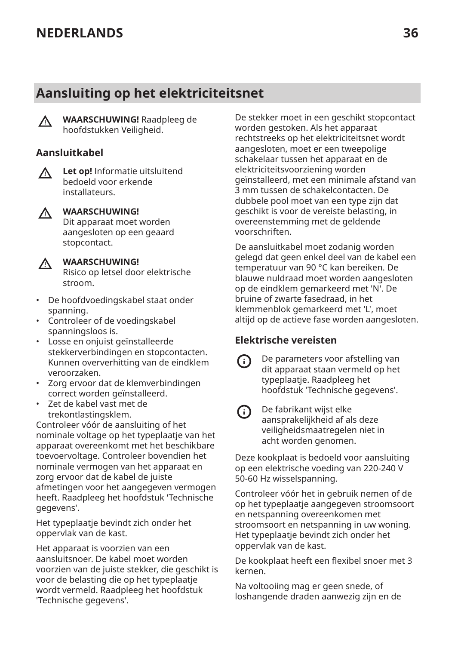# <span id="page-35-0"></span>**Aansluiting op het elektriciteitsnet**



**WAARSCHUWING!** Raadpleeg de hoofdstukken Veiligheid.

#### **Aansluitkabel**

 $\wedge$ 

**Let op!** Informatie uitsluitend bedoeld voor erkende installateurs.



#### **WAARSCHUWING!**

Dit apparaat moet worden aangesloten op een geaard stopcontact.



## **WAARSCHUWING!**

Risico op letsel door elektrische stroom.

- De hoofdvoedingskabel staat onder spanning.
- Controleer of de voedingskabel spanningsloos is.
- Losse en onjuist geïnstalleerde stekkerverbindingen en stopcontacten. Kunnen oververhitting van de eindklem veroorzaken.
- Zorg ervoor dat de klemverbindingen correct worden geïnstalleerd.
- Zet de kabel vast met de trekontlastingsklem.

Controleer vóór de aansluiting of het nominale voltage op het typeplaatje van het apparaat overeenkomt met het beschikbare toevoervoltage. Controleer bovendien het nominale vermogen van het apparaat en zorg ervoor dat de kabel de juiste afmetingen voor het aangegeven vermogen heeft. Raadpleeg het hoofdstuk 'Technische gegevens'.

Het typeplaatje bevindt zich onder het oppervlak van de kast.

Het apparaat is voorzien van een aansluitsnoer. De kabel moet worden voorzien van de juiste stekker, die geschikt is voor de belasting die op het typeplaatje wordt vermeld. Raadpleeg het hoofdstuk 'Technische gegevens'.

De stekker moet in een geschikt stopcontact worden gestoken. Als het apparaat rechtstreeks op het elektriciteitsnet wordt aangesloten, moet er een tweepolige schakelaar tussen het apparaat en de elektriciteitsvoorziening worden geïnstalleerd, met een minimale afstand van 3 mm tussen de schakelcontacten. De dubbele pool moet van een type zijn dat geschikt is voor de vereiste belasting, in overeenstemming met de geldende voorschriften.

De aansluitkabel moet zodanig worden gelegd dat geen enkel deel van de kabel een temperatuur van 90 °C kan bereiken. De blauwe nuldraad moet worden aangesloten op de eindklem gemarkeerd met 'N'. De bruine of zwarte fasedraad, in het klemmenblok gemarkeerd met 'L', moet altijd op de actieve fase worden aangesloten.

## **Elektrische vereisten**

- De parameters voor afstelling van dit apparaat staan vermeld op het typeplaatje. Raadpleeg het hoofdstuk 'Technische gegevens'.
- ⋒

ന

De fabrikant wijst elke aansprakelijkheid af als deze veiligheidsmaatregelen niet in acht worden genomen.

Deze kookplaat is bedoeld voor aansluiting op een elektrische voeding van 220-240 V 50-60 Hz wisselspanning.

Controleer vóór het in gebruik nemen of de op het typeplaatje aangegeven stroomsoort en netspanning overeenkomen met stroomsoort en netspanning in uw woning. Het typeplaatje bevindt zich onder het oppervlak van de kast.

De kookplaat heeft een flexibel snoer met 3 kernen.

Na voltooiing mag er geen snede, of loshangende draden aanwezig zijn en de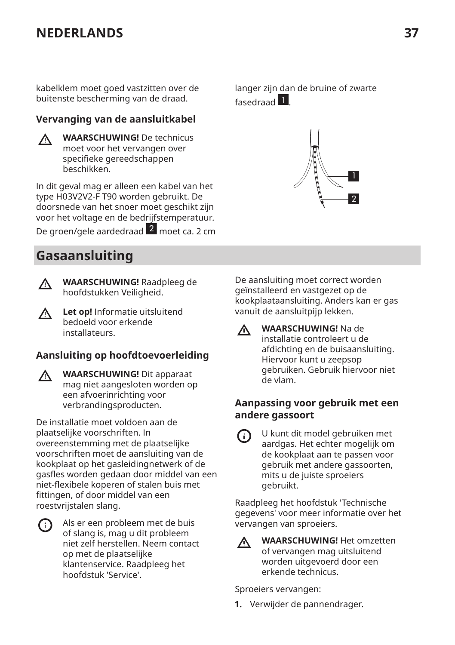<span id="page-36-0"></span>kabelklem moet goed vastzitten over de buitenste bescherming van de draad.

## **Vervanging van de aansluitkabel**

**WAARSCHUWING!** De technicus  $\Lambda$ moet voor het vervangen over specifieke gereedschappen beschikken.

In dit geval mag er alleen een kabel van het type H03V2V2-F T90 worden gebruikt. De doorsnede van het snoer moet geschikt zijn voor het voltage en de bedrijfstemperatuur.

De groen/gele aardedraad 2 moet ca. 2 cm

# **Gasaansluiting**



**WAARSCHUWING!** Raadpleeg de hoofdstukken Veiligheid.

**Let op!** Informatie uitsluitend Λ bedoeld voor erkende installateurs.

## **Aansluiting op hoofdtoevoerleiding**

**WAARSCHUWING!** Dit apparaat Λ mag niet aangesloten worden op een afvoerinrichting voor verbrandingsproducten.

De installatie moet voldoen aan de plaatselijke voorschriften. In overeenstemming met de plaatselijke voorschriften moet de aansluiting van de kookplaat op het gasleidingnetwerk of de gasfles worden gedaan door middel van een niet-flexibele koperen of stalen buis met fittingen, of door middel van een roestvrijstalen slang.



Als er een probleem met de buis of slang is, mag u dit probleem niet zelf herstellen. Neem contact op met de plaatselijke klantenservice. Raadpleeg het hoofdstuk 'Service'.

langer zijn dan de bruine of zwarte fasedraad<sup>1</sup>



De aansluiting moet correct worden geïnstalleerd en vastgezet op de kookplaataansluiting. Anders kan er gas vanuit de aansluitpijp lekken.

**WAARSCHUWING!** Na de  $\Lambda$ installatie controleert u de afdichting en de buisaansluiting. Hiervoor kunt u zeepsop gebruiken. Gebruik hiervoor niet de vlam.

## **Aanpassing voor gebruik met een andere gassoort**

U kunt dit model gebruiken met G) aardgas. Het echter mogelijk om de kookplaat aan te passen voor gebruik met andere gassoorten, mits u de juiste sproeiers gebruikt.

Raadpleeg het hoofdstuk 'Technische gegevens' voor meer informatie over het vervangen van sproeiers.



**WAARSCHUWING!** Het omzetten of vervangen mag uitsluitend worden uitgevoerd door een erkende technicus.

Sproeiers vervangen:

**1.** Verwijder de pannendrager.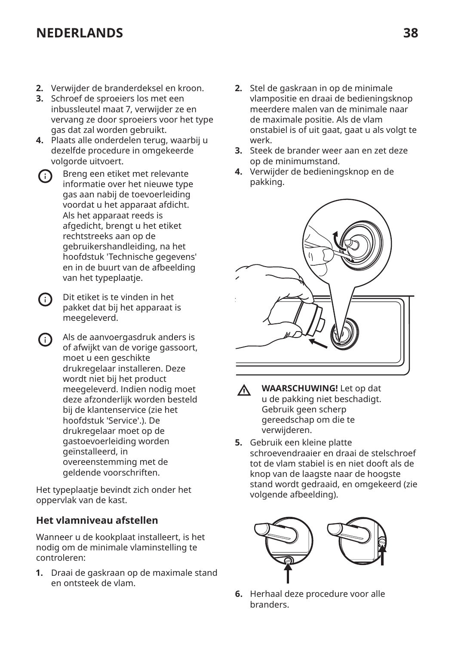- **2.** Verwijder de branderdeksel en kroon.
- **3.** Schroef de sproeiers los met een inbussleutel maat 7, verwijder ze en vervang ze door sproeiers voor het type gas dat zal worden gebruikt.
- **4.** Plaats alle onderdelen terug, waarbij u dezelfde procedure in omgekeerde volgorde uitvoert.
- Breng een etiket met relevante G) informatie over het nieuwe type gas aan nabij de toevoerleiding voordat u het apparaat afdicht. Als het apparaat reeds is afgedicht, brengt u het etiket rechtstreeks aan op de gebruikershandleiding, na het hoofdstuk 'Technische gegevens' en in de buurt van de afbeelding van het typeplaatje.
- Dit etiket is te vinden in het G) pakket dat bij het apparaat is meegeleverd.
- Als de aanvoergasdruk anders is (i) of afwijkt van de vorige gassoort, moet u een geschikte drukregelaar installeren. Deze wordt niet bij het product meegeleverd. Indien nodig moet deze afzonderlijk worden besteld bij de klantenservice (zie het hoofdstuk 'Service'.). De drukregelaar moet op de gastoevoerleiding worden geïnstalleerd, in overeenstemming met de geldende voorschriften.

Het typeplaatje bevindt zich onder het oppervlak van de kast.

## **Het vlamniveau afstellen**

Wanneer u de kookplaat installeert, is het nodig om de minimale vlaminstelling te controleren:

**1.** Draai de gaskraan op de maximale stand en ontsteek de vlam.

- **2.** Stel de gaskraan in op de minimale vlampositie en draai de bedieningsknop meerdere malen van de minimale naar de maximale positie. Als de vlam onstabiel is of uit gaat, gaat u als volgt te werk.
- **3.** Steek de brander weer aan en zet deze op de minimumstand.
- **4.** Verwijder de bedieningsknop en de pakking.



- **WAARSCHUWING!** Let op dat ΛN. u de pakking niet beschadigt. Gebruik geen scherp gereedschap om die te verwijderen.
- **5.** Gebruik een kleine platte schroevendraaier en draai de stelschroef tot de vlam stabiel is en niet dooft als de knop van de laagste naar de hoogste stand wordt gedraaid, en omgekeerd (zie volgende afbeelding).



**6.** Herhaal deze procedure voor alle **branders**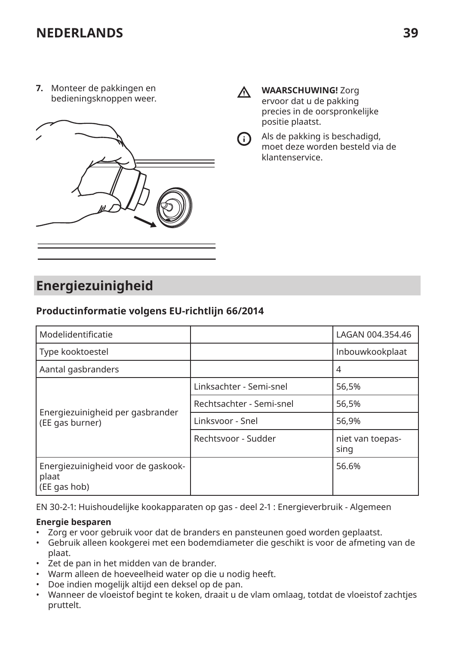<span id="page-38-0"></span>**7.** Monteer de pakkingen en bedieningsknoppen weer.



ΛN,

 $(i)$ 

**WAARSCHUWING!** Zorg ervoor dat u de pakking precies in de oorspronkelijke positie plaatst.

Als de pakking is beschadigd, moet deze worden besteld via de klantenservice.

# **Energiezuinigheid**

## **Productinformatie volgens EU-richtlijn 66/2014**

| Modelidentificatie                                          |                          | LAGAN 004.354.46         |
|-------------------------------------------------------------|--------------------------|--------------------------|
| Type kooktoestel                                            |                          | Inbouwkookplaat          |
| Aantal gasbranders                                          |                          | 4                        |
|                                                             | Linksachter - Semi-snel  | 56,5%                    |
|                                                             | Rechtsachter - Semi-snel | 56.5%                    |
| Energiezuinigheid per gasbrander<br>(EE gas burner)         | Linksvoor - Snel         | 56,9%                    |
|                                                             | Rechtsvoor - Sudder      | niet van toepas-<br>sing |
| Energiezuinigheid voor de gaskook-<br>plaat<br>(EE gas hob) |                          | 56.6%                    |

EN 30-2-1: Huishoudelijke kookapparaten op gas - deel 2-1 : Energieverbruik - Algemeen

#### **Energie besparen**

- Zorg er voor gebruik voor dat de branders en pansteunen goed worden geplaatst.
- Gebruik alleen kookgerei met een bodemdiameter die geschikt is voor de afmeting van de plaat.
- Zet de pan in het midden van de brander.
- Warm alleen de hoeveelheid water op die u nodig heeft.
- Doe indien mogelijk altijd een deksel op de pan.
- Wanneer de vloeistof begint te koken, draait u de vlam omlaag, totdat de vloeistof zachtjes pruttelt.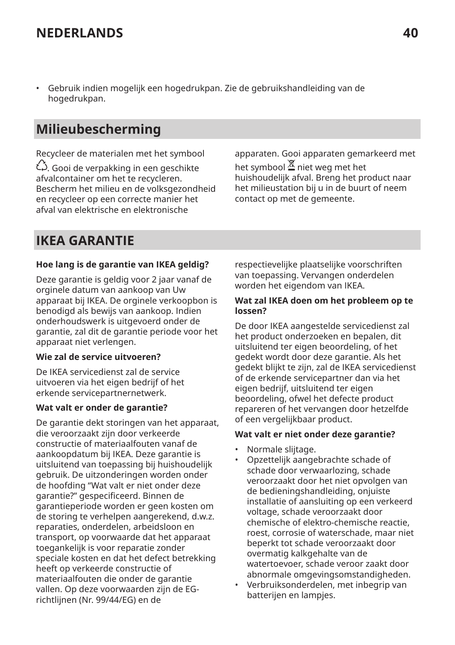<span id="page-39-0"></span>• Gebruik indien mogelijk een hogedrukpan. Zie de gebruikshandleiding van de hogedrukpan.

# **Milieubescherming**

Recycleer de materialen met het symbool بُ<sup>حُ</sup>. Gooi de verpakking in een geschikte afvalcontainer om het te recycleren. Bescherm het milieu en de volksgezondheid en recycleer op een correcte manier het afval van elektrische en elektronische

apparaten. Gooi apparaten gemarkeerd met het symbool  $\Xi$  niet weg met het huishoudelijk afval. Breng het product naar het milieustation bij u in de buurt of neem contact op met de gemeente.

# **IKEA GARANTIE**

#### **Hoe lang is de garantie van IKEA geldig?**

Deze garantie is geldig voor 2 jaar vanaf de orginele datum van aankoop van Uw apparaat bij IKEA. De orginele verkoopbon is benodigd als bewijs van aankoop. Indien onderhoudswerk is uitgevoerd onder de garantie, zal dit de garantie periode voor het apparaat niet verlengen.

#### **Wie zal de service uitvoeren?**

De IKEA servicedienst zal de service uitvoeren via het eigen bedrijf of het erkende servicepartnernetwerk.

#### **Wat valt er onder de garantie?**

De garantie dekt storingen van het apparaat, die veroorzaakt zijn door verkeerde constructie of materiaalfouten vanaf de aankoopdatum bij IKEA. Deze garantie is uitsluitend van toepassing bij huishoudelijk gebruik. De uitzonderingen worden onder de hoofding "Wat valt er niet onder deze garantie?" gespecificeerd. Binnen de garantieperiode worden er geen kosten om de storing te verhelpen aangerekend, d.w.z. reparaties, onderdelen, arbeidsloon en transport, op voorwaarde dat het apparaat toegankelijk is voor reparatie zonder speciale kosten en dat het defect betrekking heeft op verkeerde constructie of materiaalfouten die onder de garantie vallen. Op deze voorwaarden zijn de EGrichtlijnen (Nr. 99/44/EG) en de

respectievelijke plaatselijke voorschriften van toepassing. Vervangen onderdelen worden het eigendom van IKEA.

#### **Wat zal IKEA doen om het probleem op te lossen?**

De door IKEA aangestelde servicedienst zal het product onderzoeken en bepalen, dit uitsluitend ter eigen beoordeling, of het gedekt wordt door deze garantie. Als het gedekt blijkt te zijn, zal de IKEA servicedienst of de erkende servicepartner dan via het eigen bedrijf, uitsluitend ter eigen beoordeling, ofwel het defecte product repareren of het vervangen door hetzelfde of een vergelijkbaar product.

#### **Wat valt er niet onder deze garantie?**

- Normale slijtage.
- Opzettelijk aangebrachte schade of schade door verwaarlozing, schade veroorzaakt door het niet opvolgen van de bedieningshandleiding, onjuiste installatie of aansluiting op een verkeerd voltage, schade veroorzaakt door chemische of elektro-chemische reactie, roest, corrosie of waterschade, maar niet beperkt tot schade veroorzaakt door overmatig kalkgehalte van de watertoevoer, schade veroor zaakt door abnormale omgevingsomstandigheden.
- Verbruiksonderdelen, met inbegrip van batterijen en lampjes.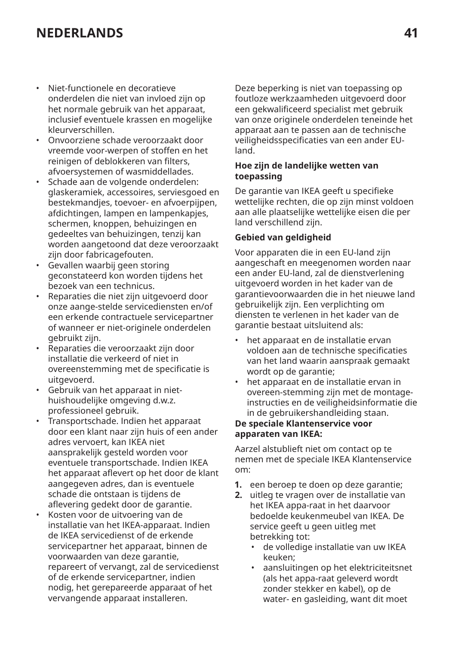- Niet-functionele en decoratieve onderdelen die niet van invloed zijn op het normale gebruik van het apparaat, inclusief eventuele krassen en mogelijke kleurverschillen.
- Onvoorziene schade veroorzaakt door vreemde voor-werpen of stoffen en het reinigen of deblokkeren van filters, afvoersystemen of wasmiddellades.
- Schade aan de volgende onderdelen: glaskeramiek, accessoires, serviesgoed en bestekmandjes, toevoer- en afvoerpijpen, afdichtingen, lampen en lampenkapjes, schermen, knoppen, behuizingen en gedeeltes van behuizingen, tenzij kan worden aangetoond dat deze veroorzaakt zijn door fabricagefouten.
- Gevallen waarbij geen storing geconstateerd kon worden tijdens het bezoek van een technicus.
- Reparaties die niet zijn uitgevoerd door onze aange-stelde servicediensten en/of een erkende contractuele servicepartner of wanneer er niet-originele onderdelen gebruikt zijn.
- Reparaties die veroorzaakt zijn door installatie die verkeerd of niet in overeenstemming met de specificatie is uitgevoerd.
- Gebruik van het apparaat in niethuishoudelijke omgeving d.w.z. professioneel gebruik.
- Transportschade. Indien het apparaat door een klant naar zijn huis of een ander adres vervoert, kan IKEA niet aansprakelijk gesteld worden voor eventuele transportschade. Indien IKEA het apparaat aflevert op het door de klant aangegeven adres, dan is eventuele schade die ontstaan is tijdens de aflevering gedekt door de garantie.
- Kosten voor de uitvoering van de installatie van het IKEA-apparaat. Indien de IKEA servicedienst of de erkende servicepartner het apparaat, binnen de voorwaarden van deze garantie, repareert of vervangt, zal de servicedienst of de erkende servicepartner, indien nodig, het gerepareerde apparaat of het vervangende apparaat installeren.

Deze beperking is niet van toepassing op foutloze werkzaamheden uitgevoerd door een gekwalificeerd specialist met gebruik van onze originele onderdelen teneinde het apparaat aan te passen aan de technische veiligheidsspecificaties van een ander EUland.

#### **Hoe zijn de landelijke wetten van toepassing**

De garantie van IKEA geeft u specifieke wettelijke rechten, die op zijn minst voldoen aan alle plaatselijke wettelijke eisen die per land verschillend zijn.

#### **Gebied van geldigheid**

Voor apparaten die in een EU-land zijn aangeschaft en meegenomen worden naar een ander EU-land, zal de dienstverlening uitgevoerd worden in het kader van de garantievoorwaarden die in het nieuwe land gebruikelijk zijn. Een verplichting om diensten te verlenen in het kader van de garantie bestaat uitsluitend als:

- het apparaat en de installatie ervan voldoen aan de technische specificaties van het land waarin aanspraak gemaakt wordt op de garantie;
- het apparaat en de installatie ervan in overeen-stemming zijn met de montageinstructies en de veiligheidsinformatie die in de gebruikershandleiding staan.

#### **De speciale Klantenservice voor apparaten van IKEA:**

Aarzel alstublieft niet om contact op te nemen met de speciale IKEA Klantenservice om:

- **1.** een beroep te doen op deze garantie;
- **2.** uitleg te vragen over de installatie van het IKEA appa-raat in het daarvoor bedoelde keukenmeubel van IKEA. De service geeft u geen uitleg met betrekking tot:
	- de volledige installatie van uw IKEA keuken;
	- aansluitingen op het elektriciteitsnet (als het appa-raat geleverd wordt zonder stekker en kabel), op de water- en gasleiding, want dit moet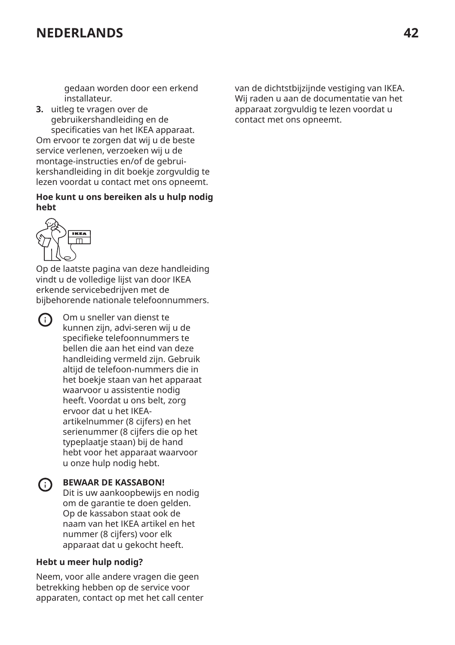gedaan worden door een erkend installateur.

**3.** uitleg te vragen over de gebruikershandleiding en de specificaties van het IKEA apparaat. Om ervoor te zorgen dat wij u de beste service verlenen, verzoeken wij u de montage-instructies en/of de gebruikershandleiding in dit boekje zorgvuldig te lezen voordat u contact met ons opneemt.

#### **Hoe kunt u ons bereiken als u hulp nodig hebt**



Op de laatste pagina van deze handleiding vindt u de volledige lijst van door IKEA erkende servicebedrijven met de bijbehorende nationale telefoonnummers.



Om u sneller van dienst te kunnen zijn, advi-seren wij u de specifieke telefoonnummers te bellen die aan het eind van deze handleiding vermeld zijn. Gebruik altijd de telefoon-nummers die in het boekje staan van het apparaat waarvoor u assistentie nodig heeft. Voordat u ons belt, zorg ervoor dat u het IKEAartikelnummer (8 cijfers) en het serienummer (8 cijfers die op het typeplaatje staan) bij de hand hebt voor het apparaat waarvoor u onze hulp nodig hebt.

#### **BEWAAR DE KASSABON!**  $(i)$

Dit is uw aankoopbewijs en nodig om de garantie te doen gelden. Op de kassabon staat ook de naam van het IKEA artikel en het nummer (8 cijfers) voor elk apparaat dat u gekocht heeft.

#### **Hebt u meer hulp nodig?**

Neem, voor alle andere vragen die geen betrekking hebben op de service voor apparaten, contact op met het call center van de dichtstbijzijnde vestiging van IKEA. Wij raden u aan de documentatie van het apparaat zorgvuldig te lezen voordat u contact met ons opneemt.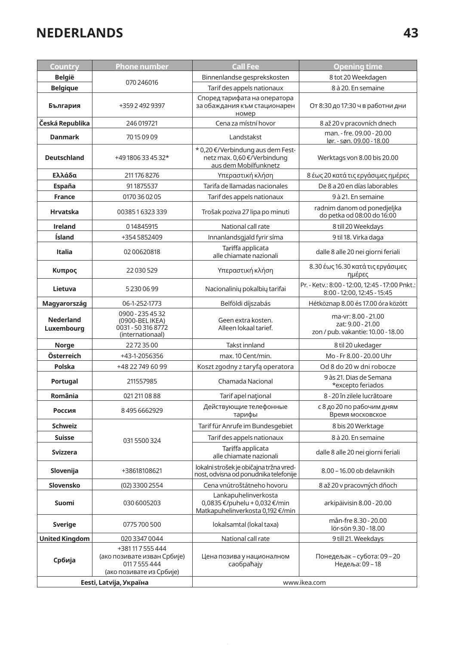| Country                 | <b>Phone number</b>                                                                    | <b>Call Fee</b>                                                                           | <b>Opening time</b>                                                            |  |
|-------------------------|----------------------------------------------------------------------------------------|-------------------------------------------------------------------------------------------|--------------------------------------------------------------------------------|--|
| <b>België</b>           | 070 246016                                                                             | Binnenlandse gesprekskosten                                                               | 8 tot 20 Weekdagen                                                             |  |
| <b>Belgique</b>         |                                                                                        | Tarif des appels nationaux                                                                | 8 à 20. En semaine                                                             |  |
| България                | +359 2 492 9397                                                                        | Според тарифата на оператора<br>за обаждания към стационарен<br>номер                     | От 8:30 до 17:30 ч в работни дни                                               |  |
| Česká Republika         | 246 019721                                                                             | Cena za místní hovor                                                                      | 8 až 20 v pracovních dnech                                                     |  |
| <b>Danmark</b>          | 70150909                                                                               | Landstakst                                                                                | man. - fre. 09.00 - 20.00<br>lør. - søn. 09.00 - 18.00                         |  |
| <b>Deutschland</b>      | +49 1806 33 45 32*                                                                     | * 0,20 €/Verbindung aus dem Fest-<br>netz max. 0,60 €/Verbindung<br>aus dem Mobilfunknetz | Werktags von 8.00 bis 20.00                                                    |  |
| Ελλάδα                  | 211 176 8276                                                                           | Υπεραστική κλήση                                                                          | 8 έως 20 κατά τις εργάσιμες ημέρες                                             |  |
| España                  | 911875537                                                                              | Tarifa de llamadas nacionales                                                             | De 8 a 20 en días laborables                                                   |  |
| <b>France</b>           | 0170 36 02 05                                                                          | Tarif des appels nationaux                                                                | 9 à 21. En semaine                                                             |  |
| <b>Hrvatska</b>         | 0038516323339                                                                          | Trošak poziva 27 lipa po minuti                                                           | radnim danom od ponedjeljka<br>do petka od 08:00 do 16:00                      |  |
| Ireland                 | 014845915                                                                              | National call rate                                                                        | 8 till 20 Weekdays                                                             |  |
| Ísland                  | +3545852409                                                                            | Innanlandsgjald fyrir síma                                                                | 9 til 18. Virka daga                                                           |  |
| Italia                  | 0200620818                                                                             | Tariffa applicata<br>alle chiamate nazionali                                              | dalle 8 alle 20 nei giorni feriali                                             |  |
| Κυπρος                  | 22 030 529                                                                             | Υπεραστική κλήση                                                                          | 8.30 έως 16.30 κατά τις εργάσιμες<br>ημέρες                                    |  |
| Lietuva                 | 52300699                                                                               | Nacionalinių pokalbių tarifai                                                             | Pr. - Ketv.: 8:00 - 12:00, 12:45 - 17:00 Pnkt.:<br>8:00 - 12:00, 12:45 - 15:45 |  |
| Magyarország            | 06-1-252-1773                                                                          | Belföldi díjszabás                                                                        | Hétköznap 8.00 és 17.00 óra között                                             |  |
| Nederland<br>Luxembourg | 0900 - 235 45 32<br>(0900-BEL IKEA)<br>0031 - 50 316 8772<br>(internationaal)          | Geen extra kosten.<br>Alleen lokaal tarief.                                               | ma-vr: 8.00 - 21.00<br>zat: 9.00 - 21.00<br>zon / pub. vakantie: 10.00 - 18.00 |  |
| Norge                   | 22723500                                                                               | Takst innland                                                                             | 8 til 20 ukedager                                                              |  |
| Österreich              | +43-1-2056356                                                                          | max. 10 Cent/min.                                                                         | Mo - Fr 8.00 - 20.00 Uhr                                                       |  |
| Polska                  | +48 22 749 60 99                                                                       | Koszt zgodny z taryfą operatora                                                           | Od 8 do 20 w dni robocze                                                       |  |
| Portugal                | 211557985                                                                              | Chamada Nacional                                                                          | 9 às 21. Dias de Semana<br>*excepto feriados                                   |  |
| România                 | 021 211 08 88                                                                          | Tarif apel național                                                                       | 8 - 20 în zilele lucrătoare                                                    |  |
| Россия                  | 84956662929                                                                            | Действующие телефонные<br>тарифы                                                          | с 8 до 20 по рабочим дням<br>Время московское                                  |  |
| <b>Schweiz</b>          |                                                                                        | Tarif für Anrufe im Bundesgebiet                                                          | 8 bis 20 Werktage                                                              |  |
| <b>Suisse</b>           | 0315500324                                                                             | Tarif des appels nationaux                                                                | 8 à 20. En semaine                                                             |  |
| <b>Svizzera</b>         |                                                                                        | Tariffa applicata<br>alle chiamate nazionali                                              | dalle 8 alle 20 nei giorni feriali                                             |  |
| Slovenija               | +38618108621                                                                           | lokalni strošek je običajna tržna vred-<br>nost, odvisna od ponudnika telefonije          | 8.00 - 16.00 ob delaynikih                                                     |  |
| Slovensko               | (02) 3300 2554                                                                         | Cena vnútroštátneho hovoru                                                                | 8 až 20 v pracovných dňoch                                                     |  |
| Suomi                   | 030 6005203                                                                            | Lankapuhelinverkosta<br>0,0835 €/puhelu + 0,032 €/min<br>Matkapuhelinverkosta 0,192 €/min | arkipäivisin 8.00 - 20.00                                                      |  |
| <b>Sverige</b>          | 0775 700 500                                                                           | lokalsamtal (lokal taxa)                                                                  | mån-fre 8.30 - 20.00<br>lör-sön 9.30 - 18.00                                   |  |
| <b>United Kingdom</b>   | 020 3347 0044                                                                          | National call rate                                                                        | 9 till 21. Weekdays                                                            |  |
| Србија                  | +381117555444<br>(ако позивате изван Србије)<br>0117555444<br>(ако позивате из Србије) | Цена позива у националном<br>саобраћају                                                   | Понедељак - субота: 09 - 20<br>Недеља: 09-18                                   |  |
| Eesti, Latvija, Україна |                                                                                        | www.ikea.com                                                                              |                                                                                |  |